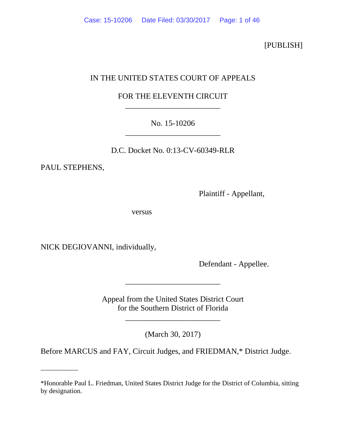[PUBLISH]

# IN THE UNITED STATES COURT OF APPEALS

# FOR THE ELEVENTH CIRCUIT \_\_\_\_\_\_\_\_\_\_\_\_\_\_\_\_\_\_\_\_\_\_\_\_

# No. 15-10206 \_\_\_\_\_\_\_\_\_\_\_\_\_\_\_\_\_\_\_\_\_\_\_\_

D.C. Docket No. 0:13-CV-60349-RLR

PAUL STEPHENS,

\_\_\_\_\_\_\_\_\_\_\_

Plaintiff - Appellant,

versus

NICK DEGIOVANNI, individually,

Defendant - Appellee.

Appeal from the United States District Court for the Southern District of Florida

\_\_\_\_\_\_\_\_\_\_\_\_\_\_\_\_\_\_\_\_\_\_\_\_

\_\_\_\_\_\_\_\_\_\_\_\_\_\_\_\_\_\_\_\_\_\_\_\_

(March 30, 2017)

Before MARCUS and FAY, Circuit Judges, and FRIEDMAN,\* District Judge.

<sup>\*</sup>Honorable Paul L. Friedman, United States District Judge for the District of Columbia, sitting by designation.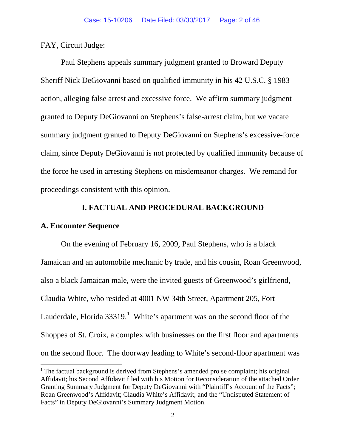FAY, Circuit Judge:

Paul Stephens appeals summary judgment granted to Broward Deputy Sheriff Nick DeGiovanni based on qualified immunity in his 42 U.S.C. § 1983 action, alleging false arrest and excessive force. We affirm summary judgment granted to Deputy DeGiovanni on Stephens's false-arrest claim, but we vacate summary judgment granted to Deputy DeGiovanni on Stephens's excessive-force claim, since Deputy DeGiovanni is not protected by qualified immunity because of the force he used in arresting Stephens on misdemeanor charges. We remand for proceedings consistent with this opinion.

#### **I. FACTUAL AND PROCEDURAL BACKGROUND**

#### **A. Encounter Sequence**

On the evening of February 16, 2009, Paul Stephens, who is a black Jamaican and an automobile mechanic by trade, and his cousin, Roan Greenwood, also a black Jamaican male, were the invited guests of Greenwood's girlfriend, Claudia White, who resided at 4001 NW 34th Street, Apartment 205, Fort Lauderdale, Florida  $33319$  $33319$  $33319$ .<sup>1</sup> White's apartment was on the second floor of the Shoppes of St. Croix, a complex with businesses on the first floor and apartments on the second floor. The doorway leading to White's second-floor apartment was

<span id="page-1-0"></span><sup>&</sup>lt;sup>1</sup> The factual background is derived from Stephens's amended pro se complaint; his original Affidavit; his Second Affidavit filed with his Motion for Reconsideration of the attached Order Granting Summary Judgment for Deputy DeGiovanni with "Plaintiff's Account of the Facts"; Roan Greenwood's Affidavit; Claudia White's Affidavit; and the "Undisputed Statement of Facts" in Deputy DeGiovanni's Summary Judgment Motion.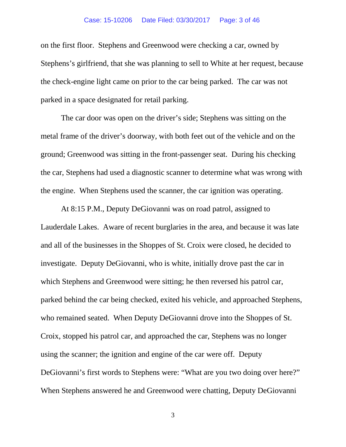on the first floor. Stephens and Greenwood were checking a car, owned by Stephens's girlfriend, that she was planning to sell to White at her request, because the check-engine light came on prior to the car being parked. The car was not parked in a space designated for retail parking.

The car door was open on the driver's side; Stephens was sitting on the metal frame of the driver's doorway, with both feet out of the vehicle and on the ground; Greenwood was sitting in the front-passenger seat. During his checking the car, Stephens had used a diagnostic scanner to determine what was wrong with the engine. When Stephens used the scanner, the car ignition was operating.

At 8:15 P.M., Deputy DeGiovanni was on road patrol, assigned to Lauderdale Lakes. Aware of recent burglaries in the area, and because it was late and all of the businesses in the Shoppes of St. Croix were closed, he decided to investigate. Deputy DeGiovanni, who is white, initially drove past the car in which Stephens and Greenwood were sitting; he then reversed his patrol car, parked behind the car being checked, exited his vehicle, and approached Stephens, who remained seated. When Deputy DeGiovanni drove into the Shoppes of St. Croix, stopped his patrol car, and approached the car, Stephens was no longer using the scanner; the ignition and engine of the car were off. Deputy DeGiovanni's first words to Stephens were: "What are you two doing over here?" When Stephens answered he and Greenwood were chatting, Deputy DeGiovanni

3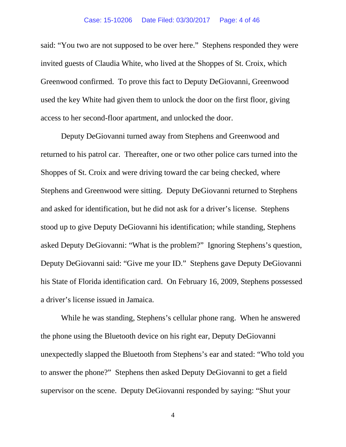said: "You two are not supposed to be over here." Stephens responded they were invited guests of Claudia White, who lived at the Shoppes of St. Croix, which Greenwood confirmed. To prove this fact to Deputy DeGiovanni, Greenwood used the key White had given them to unlock the door on the first floor, giving access to her second-floor apartment, and unlocked the door.

Deputy DeGiovanni turned away from Stephens and Greenwood and returned to his patrol car. Thereafter, one or two other police cars turned into the Shoppes of St. Croix and were driving toward the car being checked, where Stephens and Greenwood were sitting. Deputy DeGiovanni returned to Stephens and asked for identification, but he did not ask for a driver's license. Stephens stood up to give Deputy DeGiovanni his identification; while standing, Stephens asked Deputy DeGiovanni: "What is the problem?" Ignoring Stephens's question, Deputy DeGiovanni said: "Give me your ID." Stephens gave Deputy DeGiovanni his State of Florida identification card. On February 16, 2009, Stephens possessed a driver's license issued in Jamaica.

While he was standing, Stephens's cellular phone rang. When he answered the phone using the Bluetooth device on his right ear, Deputy DeGiovanni unexpectedly slapped the Bluetooth from Stephens's ear and stated: "Who told you to answer the phone?" Stephens then asked Deputy DeGiovanni to get a field supervisor on the scene. Deputy DeGiovanni responded by saying: "Shut your

4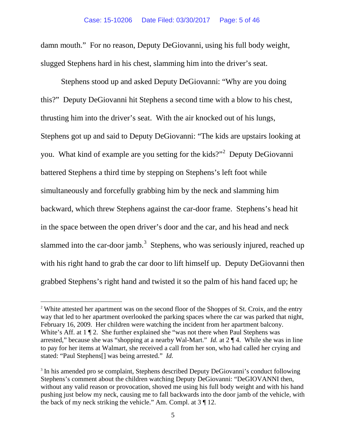damn mouth." For no reason, Deputy DeGiovanni, using his full body weight, slugged Stephens hard in his chest, slamming him into the driver's seat.

Stephens stood up and asked Deputy DeGiovanni: "Why are you doing this?" Deputy DeGiovanni hit Stephens a second time with a blow to his chest, thrusting him into the driver's seat. With the air knocked out of his lungs, Stephens got up and said to Deputy DeGiovanni: "The kids are upstairs looking at you. What kind of example are you setting for the kids?"<sup>[2](#page-4-0)</sup> Deputy DeGiovanni battered Stephens a third time by stepping on Stephens's left foot while simultaneously and forcefully grabbing him by the neck and slamming him backward, which threw Stephens against the car-door frame. Stephens's head hit in the space between the open driver's door and the car, and his head and neck slammed into the car-door jamb.<sup>[3](#page-4-1)</sup> Stephens, who was seriously injured, reached up with his right hand to grab the car door to lift himself up. Deputy DeGiovanni then grabbed Stephens's right hand and twisted it so the palm of his hand faced up; he

<span id="page-4-0"></span><sup>&</sup>lt;sup>2</sup> White attested her apartment was on the second floor of the Shoppes of St. Croix, and the entry way that led to her apartment overlooked the parking spaces where the car was parked that night, February 16, 2009. Her children were watching the incident from her apartment balcony. White's Aff. at  $1 \P 2$ . She further explained she "was not there when Paul Stephens was arrested," because she was "shopping at a nearby Wal-Mart." *Id.* at 2 ¶ 4. While she was in line to pay for her items at Walmart, she received a call from her son, who had called her crying and stated: "Paul Stephens[] was being arrested." *Id.*

<span id="page-4-1"></span><sup>&</sup>lt;sup>3</sup> In his amended pro se complaint, Stephens described Deputy DeGiovanni's conduct following Stephens's comment about the children watching Deputy DeGiovanni: "DeGIOVANNI then, without any valid reason or provocation, shoved me using his full body weight and with his hand pushing just below my neck, causing me to fall backwards into the door jamb of the vehicle, with the back of my neck striking the vehicle." Am. Compl. at  $3 \nparallel 12$ .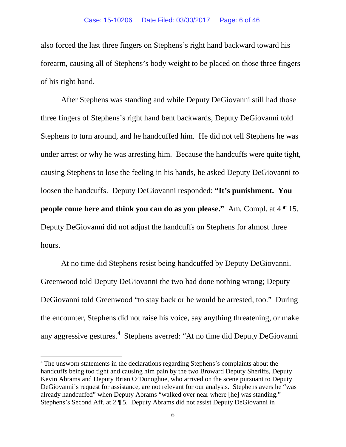also forced the last three fingers on Stephens's right hand backward toward his forearm, causing all of Stephens's body weight to be placed on those three fingers of his right hand.

After Stephens was standing and while Deputy DeGiovanni still had those three fingers of Stephens's right hand bent backwards, Deputy DeGiovanni told Stephens to turn around, and he handcuffed him. He did not tell Stephens he was under arrest or why he was arresting him. Because the handcuffs were quite tight, causing Stephens to lose the feeling in his hands, he asked Deputy DeGiovanni to loosen the handcuffs. Deputy DeGiovanni responded: **"It's punishment. You people come here and think you can do as you please."** Am*.* Compl. at 4 ¶ 15. Deputy DeGiovanni did not adjust the handcuffs on Stephens for almost three hours.

At no time did Stephens resist being handcuffed by Deputy DeGiovanni. Greenwood told Deputy DeGiovanni the two had done nothing wrong; Deputy DeGiovanni told Greenwood "to stay back or he would be arrested, too." During the encounter, Stephens did not raise his voice, say anything threatening, or make any aggressive gestures.<sup>[4](#page-5-0)</sup> Stephens averred: "At no time did Deputy DeGiovanni

<span id="page-5-0"></span> <sup>4</sup> The unsworn statements in the declarations regarding Stephens's complaints about the handcuffs being too tight and causing him pain by the two Broward Deputy Sheriffs, Deputy Kevin Abrams and Deputy Brian O'Donoghue, who arrived on the scene pursuant to Deputy DeGiovanni's request for assistance, are not relevant for our analysis. Stephens avers he "was already handcuffed" when Deputy Abrams "walked over near where [he] was standing." Stephens's Second Aff. at 2 ¶ 5. Deputy Abrams did not assist Deputy DeGiovanni in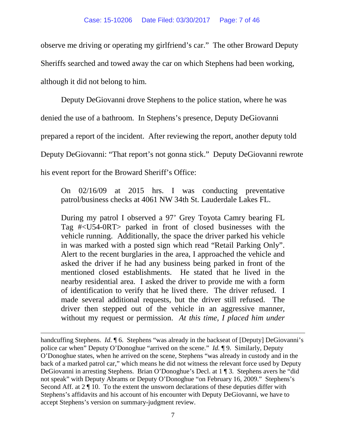observe me driving or operating my girlfriend's car." The other Broward Deputy Sheriffs searched and towed away the car on which Stephens had been working,

although it did not belong to him.

 $\overline{a}$ 

Deputy DeGiovanni drove Stephens to the police station, where he was

denied the use of a bathroom. In Stephens's presence, Deputy DeGiovanni

prepared a report of the incident. After reviewing the report, another deputy told

Deputy DeGiovanni: "That report's not gonna stick." Deputy DeGiovanni rewrote

his event report for the Broward Sheriff's Office:

On 02/16/09 at 2015 hrs. I was conducting preventative patrol/business checks at 4061 NW 34th St. Lauderdale Lakes FL.

During my patrol I observed a 97' Grey Toyota Camry bearing FL Tag #<U54-0RT> parked in front of closed businesses with the vehicle running. Additionally, the space the driver parked his vehicle in was marked with a posted sign which read "Retail Parking Only". Alert to the recent burglaries in the area, I approached the vehicle and asked the driver if he had any business being parked in front of the mentioned closed establishments. He stated that he lived in the nearby residential area. I asked the driver to provide me with a form of identification to verify that he lived there. The driver refused. I made several additional requests, but the driver still refused. The driver then stepped out of the vehicle in an aggressive manner, without my request or permission. *At this time, I placed him under* 

handcuffing Stephens. *Id.*  $\mathcal{A}$  6. Stephens "was already in the backseat of [Deputy] DeGiovanni's police car when" Deputy O'Donoghue "arrived on the scene." *Id.* ¶ 9. Similarly, Deputy O'Donoghue states, when he arrived on the scene, Stephens "was already in custody and in the back of a marked patrol car," which means he did not witness the relevant force used by Deputy DeGiovanni in arresting Stephens. Brian O'Donoghue's Decl. at 1 ¶ 3. Stephens avers he "did not speak" with Deputy Abrams or Deputy O'Donoghue "on February 16, 2009." Stephens's Second Aff. at  $2 \nvert 10$ . To the extent the unsworn declarations of these deputies differ with Stephens's affidavits and his account of his encounter with Deputy DeGiovanni, we have to accept Stephens's version on summary-judgment review.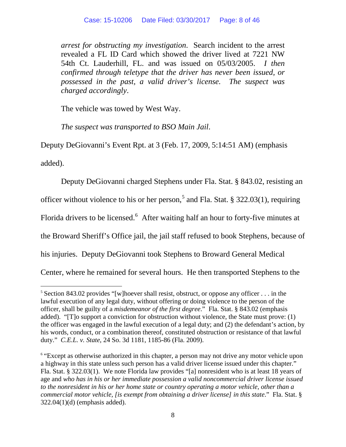*arrest for obstructing my investigation*. Search incident to the arrest revealed a FL ID Card which showed the driver lived at 7221 NW 54th Ct. Lauderhill, FL. and was issued on 05/03/2005. *I then confirmed through teletype that the driver has never been issued, or possessed in the past, a valid driver's license. The suspect was charged accordingly*.

The vehicle was towed by West Way.

*The suspect was transported to BSO Main Jail*.

Deputy DeGiovanni's Event Rpt. at 3 (Feb. 17, 2009, 5:14:51 AM) (emphasis

added).

Deputy DeGiovanni charged Stephens under Fla. Stat. § 843.02, resisting an officer without violence to his or her person,<sup>[5](#page-7-0)</sup> and Fla. Stat. § 322.03(1), requiring Florida drivers to be licensed.<sup>[6](#page-7-1)</sup> After waiting half an hour to forty-five minutes at the Broward Sheriff's Office jail, the jail staff refused to book Stephens, because of his injuries. Deputy DeGiovanni took Stephens to Broward General Medical Center, where he remained for several hours. He then transported Stephens to the

<span id="page-7-0"></span><sup>&</sup>lt;sup>5</sup> Section 843.02 provides "[w]hoever shall resist, obstruct, or oppose any officer  $\dots$  in the lawful execution of any legal duty, without offering or doing violence to the person of the officer, shall be guilty of a *misdemeanor of the first degree*." Fla. Stat. § 843.02 (emphasis added). "[T]o support a conviction for obstruction without violence, the State must prove: (1) the officer was engaged in the lawful execution of a legal duty; and (2) the defendant's action, by his words, conduct, or a combination thereof, constituted obstruction or resistance of that lawful duty." *C.E.L. v. State*, 24 So. 3d 1181, 1185-86 (Fla. 2009).

<span id="page-7-1"></span><sup>&</sup>lt;sup>6</sup> "Except as otherwise authorized in this chapter, a person may not drive any motor vehicle upon a highway in this state unless such person has a valid driver license issued under this chapter." Fla. Stat. § 322.03(1). We note Florida law provides "[a] nonresident who is at least 18 years of age and *who has in his or her immediate possession a valid noncommercial driver license issued to the nonresident in his or her home state or country operating a motor vehicle, other than a commercial motor vehicle, [is exempt from obtaining a driver license] in this state*." Fla. Stat. § 322.04(1)(d) (emphasis added).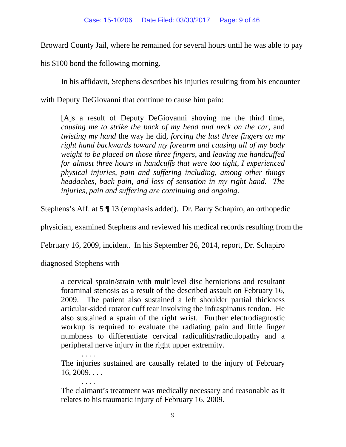Broward County Jail, where he remained for several hours until he was able to pay

his \$100 bond the following morning.

In his affidavit, Stephens describes his injuries resulting from his encounter

with Deputy DeGiovanni that continue to cause him pain:

[A]s a result of Deputy DeGiovanni shoving me the third time, *causing me to strike the back of my head and neck on the car*, and *twisting my hand* the way he did, *forcing the last three fingers on my right hand backwards toward my forearm and causing all of my body weight to be placed on those three fingers*, and *leaving me handcuffed for almost three hours in handcuffs that were too tight, I experienced physical injuries, pain and suffering including, among other things headaches, back pain, and loss of sensation in my right hand. The injuries, pain and suffering are continuing and ongoing*.

Stephens's Aff. at 5 ¶ 13 (emphasis added). Dr. Barry Schapiro, an orthopedic

physician, examined Stephens and reviewed his medical records resulting from the

February 16, 2009, incident. In his September 26, 2014, report, Dr. Schapiro

diagnosed Stephens with

a cervical sprain/strain with multilevel disc herniations and resultant foraminal stenosis as a result of the described assault on February 16, 2009. The patient also sustained a left shoulder partial thickness articular-sided rotator cuff tear involving the infraspinatus tendon. He also sustained a sprain of the right wrist. Further electrodiagnostic workup is required to evaluate the radiating pain and little finger numbness to differentiate cervical radiculitis/radiculopathy and a peripheral nerve injury in the right upper extremity.

. . . . The injuries sustained are causally related to the injury of February  $16, 2009. \ldots$ 

The claimant's treatment was medically necessary and reasonable as it relates to his traumatic injury of February 16, 2009.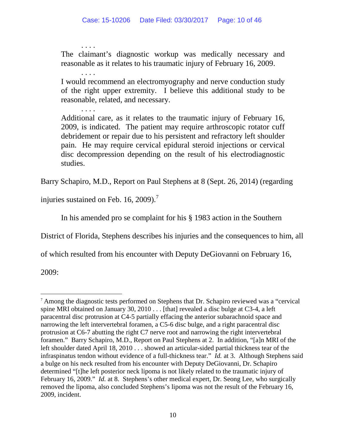. . . . The claimant's diagnostic workup was medically necessary and reasonable as it relates to his traumatic injury of February 16, 2009.

. . . . I would recommend an electromyography and nerve conduction study of the right upper extremity. I believe this additional study to be reasonable, related, and necessary.

Additional care, as it relates to the traumatic injury of February 16, 2009, is indicated. The patient may require arthroscopic rotator cuff debridement or repair due to his persistent and refractory left shoulder pain. He may require cervical epidural steroid injections or cervical disc decompression depending on the result of his electrodiagnostic studies.

Barry Schapiro, M.D., Report on Paul Stephens at 8 (Sept. 26, 2014) (regarding

injuries sustained on Feb. 16, 2009).<sup>[7](#page-9-0)</sup>

. . . .

In his amended pro se complaint for his § 1983 action in the Southern

District of Florida, Stephens describes his injuries and the consequences to him, all

of which resulted from his encounter with Deputy DeGiovanni on February 16,

2009:

<span id="page-9-0"></span> <sup>7</sup> Among the diagnostic tests performed on Stephens that Dr. Schapiro reviewed was a "cervical spine MRI obtained on January 30, 2010 . . . [that] revealed a disc bulge at C3-4, a left paracentral disc protrusion at C4-5 partially effacing the anterior subarachnoid space and narrowing the left intervertebral foramen, a C5-6 disc bulge, and a right paracentral disc protrusion at C6-7 abutting the right C7 nerve root and narrowing the right intervertebral foramen." Barry Schapiro, M.D., Report on Paul Stephens at 2. In addition, "[a]n MRI of the left shoulder dated April 18, 2010 . . . showed an articular-sided partial thickness tear of the infraspinatus tendon without evidence of a full-thickness tear." *Id.* at 3. Although Stephens said a bulge on his neck resulted from his encounter with Deputy DeGiovanni, Dr. Schapiro determined "[t]he left posterior neck lipoma is not likely related to the traumatic injury of February 16, 2009." *Id.* at 8. Stephens's other medical expert, Dr. Seong Lee, who surgically removed the lipoma, also concluded Stephens's lipoma was not the result of the February 16, 2009, incident.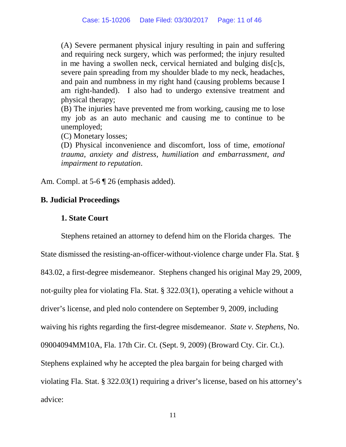(A) Severe permanent physical injury resulting in pain and suffering and requiring neck surgery, which was performed; the injury resulted in me having a swollen neck, cervical herniated and bulging dis[c]s, severe pain spreading from my shoulder blade to my neck, headaches, and pain and numbness in my right hand (causing problems because I am right-handed). I also had to undergo extensive treatment and physical therapy;

(B) The injuries have prevented me from working, causing me to lose my job as an auto mechanic and causing me to continue to be unemployed;

(C) Monetary losses;

(D) Physical inconvenience and discomfort, loss of time, *emotional trauma, anxiety and distress, humiliation and embarrassment, and impairment to reputation*.

Am. Compl. at 5-6  $\P$  26 (emphasis added).

## **B. Judicial Proceedings**

## **1. State Court**

Stephens retained an attorney to defend him on the Florida charges. The State dismissed the resisting-an-officer-without-violence charge under Fla. Stat. § 843.02, a first-degree misdemeanor. Stephens changed his original May 29, 2009, not-guilty plea for violating Fla. Stat. § 322.03(1), operating a vehicle without a driver's license, and pled nolo contendere on September 9, 2009, including waiving his rights regarding the first-degree misdemeanor. *State v. Stephens*, No. 09004094MM10A, Fla. 17th Cir. Ct. (Sept. 9, 2009) (Broward Cty. Cir. Ct.). Stephens explained why he accepted the plea bargain for being charged with violating Fla. Stat. § 322.03(1) requiring a driver's license, based on his attorney's advice: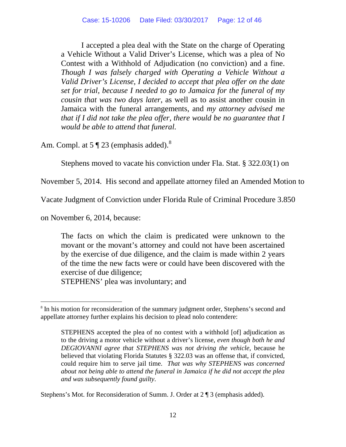I accepted a plea deal with the State on the charge of Operating a Vehicle Without a Valid Driver's License, which was a plea of No Contest with a Withhold of Adjudication (no conviction) and a fine. *Though I was falsely charged with Operating a Vehicle Without a Valid Driver's License, I decided to accept that plea offer on the date set for trial, because I needed to go to Jamaica for the funeral of my cousin that was two days later*, as well as to assist another cousin in Jamaica with the funeral arrangements, and *my attorney advised me that if I did not take the plea offer, there would be no guarantee that I would be able to attend that funeral.*

Am. Compl. at  $5 \text{ } \text{\ensuremath{\P}}\text{ } 23$  (emphasis added).<sup>[8](#page-11-0)</sup>

Stephens moved to vacate his conviction under Fla. Stat. § 322.03(1) on

November 5, 2014. His second and appellate attorney filed an Amended Motion to

Vacate Judgment of Conviction under Florida Rule of Criminal Procedure 3.850

on November 6, 2014, because:

The facts on which the claim is predicated were unknown to the movant or the movant's attorney and could not have been ascertained by the exercise of due diligence, and the claim is made within 2 years of the time the new facts were or could have been discovered with the exercise of due diligence; STEPHENS' plea was involuntary; and

Stephens's Mot. for Reconsideration of Summ. J. Order at 2 ¶ 3 (emphasis added).

<span id="page-11-0"></span><sup>&</sup>lt;sup>8</sup> In his motion for reconsideration of the summary judgment order, Stephens's second and appellate attorney further explains his decision to plead nolo contendere:

STEPHENS accepted the plea of no contest with a withhold [of] adjudication as to the driving a motor vehicle without a driver's license, *even though both he and DEGIOVANNI agree that STEPHENS was not driving the vehicle*, because he believed that violating Florida Statutes § 322.03 was an offense that, if convicted, could require him to serve jail time. *That was why STEPHENS was concerned about not being able to attend the funeral in Jamaica if he did not accept the plea and was subsequently found guilty*.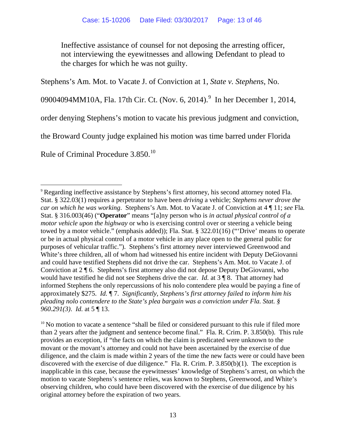Ineffective assistance of counsel for not deposing the arresting officer, not interviewing the eyewitnesses and allowing Defendant to plead to the charges for which he was not guilty.

Stephens's Am. Mot. to Vacate J. of Conviction at 1, *State v. Stephens*, No.

0[9](#page-12-0)004094MM10A, Fla. 17th Cir. Ct. (Nov. 6, 2014). In her December 1, 2014,

order denying Stephens's motion to vacate his previous judgment and conviction,

the Broward County judge explained his motion was time barred under Florida

Rule of Criminal Procedure 3.850.<sup>[10](#page-12-1)</sup>

<span id="page-12-0"></span><sup>&</sup>lt;sup>9</sup> Regarding ineffective assistance by Stephens's first attorney, his second attorney noted Fla. Stat. § 322.03(1) requires a perpetrator to have been *driving* a vehicle; *Stephens never drove the car on which he was working*. Stephens's Am. Mot. to Vacate J. of Conviction at 4 ¶ 11; *see* Fla*.* Stat. § 316.003(46) ("**Operator**" means "[a]ny person who is *in actual physical control of a motor vehicle upon the highway* or who is exercising control over or steering a vehicle being towed by a motor vehicle." (emphasis added)); Fla. Stat. § 322.01(16) ("'Drive' means to operate or be in actual physical control of a motor vehicle in any place open to the general public for purposes of vehicular traffic."). Stephens's first attorney never interviewed Greenwood and White's three children, all of whom had witnessed his entire incident with Deputy DeGiovanni and could have testified Stephens did not drive the car. Stephens's Am. Mot. to Vacate J. of Conviction at 2 ¶ 6. Stephens's first attorney also did not depose Deputy DeGiovanni, who would have testified he did not see Stephens drive the car. *Id.* at 3 ¶ 8. That attorney had informed Stephens the only repercussions of his nolo contendere plea would be paying a fine of approximately \$275. *Id.* ¶ 7. *Significantly, Stephens's first attorney failed to inform him his pleading nolo contendere to the State's plea bargain was a conviction under Fla. Stat. § 960.291(3)*. *Id.* at 5 ¶ 13.

<span id="page-12-1"></span><sup>&</sup>lt;sup>10</sup> No motion to vacate a sentence "shall be filed or considered pursuant to this rule if filed more than 2 years after the judgment and sentence become final." Fla. R. Crim. P. 3.850(b). This rule provides an exception, if "the facts on which the claim is predicated were unknown to the movant or the movant's attorney and could not have been ascertained by the exercise of due diligence, and the claim is made within 2 years of the time the new facts were or could have been discovered with the exercise of due diligence." Fla. R. Crim. P.  $3.850(b)(1)$ . The exception is inapplicable in this case, because the eyewitnesses' knowledge of Stephens's arrest, on which the motion to vacate Stephens's sentence relies, was known to Stephens, Greenwood, and White's observing children, who could have been discovered with the exercise of due diligence by his original attorney before the expiration of two years.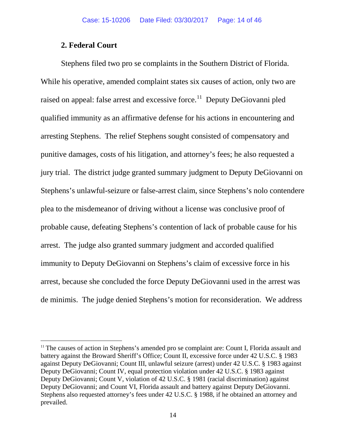### **2. Federal Court**

Stephens filed two pro se complaints in the Southern District of Florida. While his operative, amended complaint states six causes of action, only two are raised on appeal: false arrest and excessive force.<sup>[11](#page-13-0)</sup> Deputy DeGiovanni pled qualified immunity as an affirmative defense for his actions in encountering and arresting Stephens. The relief Stephens sought consisted of compensatory and punitive damages, costs of his litigation, and attorney's fees; he also requested a jury trial. The district judge granted summary judgment to Deputy DeGiovanni on Stephens's unlawful-seizure or false-arrest claim, since Stephens's nolo contendere plea to the misdemeanor of driving without a license was conclusive proof of probable cause, defeating Stephens's contention of lack of probable cause for his arrest. The judge also granted summary judgment and accorded qualified immunity to Deputy DeGiovanni on Stephens's claim of excessive force in his arrest, because she concluded the force Deputy DeGiovanni used in the arrest was de minimis. The judge denied Stephens's motion for reconsideration. We address

<span id="page-13-0"></span><sup>&</sup>lt;sup>11</sup> The causes of action in Stephens's amended pro se complaint are: Count I, Florida assault and battery against the Broward Sheriff's Office; Count II, excessive force under 42 U.S.C. § 1983 against Deputy DeGiovanni; Count III, unlawful seizure (arrest) under 42 U.S.C. § 1983 against Deputy DeGiovanni; Count IV, equal protection violation under 42 U.S.C. § 1983 against Deputy DeGiovanni; Count V, violation of 42 U.S.C. § 1981 (racial discrimination) against Deputy DeGiovanni; and Count VI, Florida assault and battery against Deputy DeGiovanni. Stephens also requested attorney's fees under 42 U.S.C. § 1988, if he obtained an attorney and prevailed.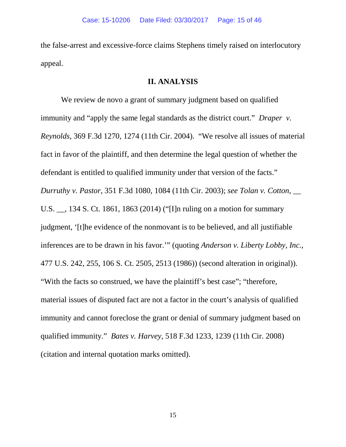the false-arrest and excessive-force claims Stephens timely raised on interlocutory appeal.

#### **II. ANALYSIS**

We review de novo a grant of summary judgment based on qualified immunity and "apply the same legal standards as the district court." *Draper v. Reynolds*, 369 F.3d 1270, 1274 (11th Cir. 2004). "We resolve all issues of material fact in favor of the plaintiff, and then determine the legal question of whether the defendant is entitled to qualified immunity under that version of the facts." *Durruthy v. Pastor*, 351 F.3d 1080, 1084 (11th Cir. 2003); *see Tolan v. Cotton*, \_\_ U.S. \_\_, 134 S. Ct. 1861, 1863 (2014) ("[I]n ruling on a motion for summary judgment, '[t]he evidence of the nonmovant is to be believed, and all justifiable inferences are to be drawn in his favor.'" (quoting *Anderson v. Liberty Lobby, Inc.*, 477 U.S. 242, 255, 106 S. Ct. 2505, 2513 (1986)) (second alteration in original)). "With the facts so construed, we have the plaintiff's best case"; "therefore, material issues of disputed fact are not a factor in the court's analysis of qualified immunity and cannot foreclose the grant or denial of summary judgment based on qualified immunity." *Bates v. Harvey*, 518 F.3d 1233, 1239 (11th Cir. 2008) (citation and internal quotation marks omitted).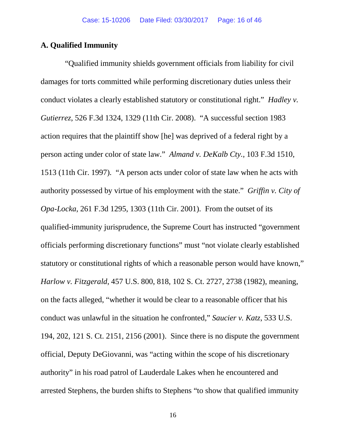#### **A. Qualified Immunity**

 "Qualified immunity shields government officials from liability for civil damages for torts committed while performing discretionary duties unless their conduct violates a clearly established statutory or constitutional right." *Hadley v. Gutierrez*, 526 F.3d 1324, 1329 (11th Cir. 2008). "A successful section 1983 action requires that the plaintiff show [he] was deprived of a federal right by a person acting under color of state law." *Almand v. DeKalb Cty.,* 103 F.3d 1510, 1513 (11th Cir. 1997). "A person acts under color of state law when he acts with authority possessed by virtue of his employment with the state." *Griffin v. City of Opa-Locka*, 261 F.3d 1295, 1303 (11th Cir. 2001). From the outset of its qualified-immunity jurisprudence, the Supreme Court has instructed "government officials performing discretionary functions" must "not violate clearly established statutory or constitutional rights of which a reasonable person would have known," *Harlow v. Fitzgerald*, 457 U.S. 800, 818, 102 S. Ct. 2727, 2738 (1982), meaning, on the facts alleged, "whether it would be clear to a reasonable officer that his conduct was unlawful in the situation he confronted," *Saucier v. Katz*, 533 U.S. 194, 202, 121 S. Ct. 2151, 2156 (2001). Since there is no dispute the government official, Deputy DeGiovanni, was "acting within the scope of his discretionary authority" in his road patrol of Lauderdale Lakes when he encountered and arrested Stephens, the burden shifts to Stephens "to show that qualified immunity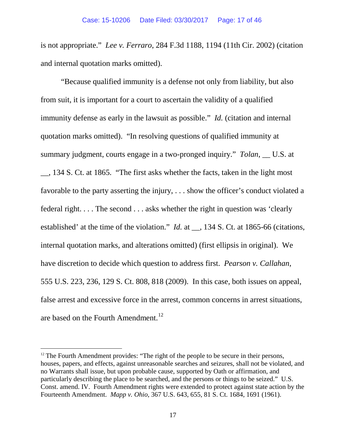is not appropriate." *Lee v. Ferraro*, 284 F.3d 1188, 1194 (11th Cir. 2002) (citation and internal quotation marks omitted).

"Because qualified immunity is a defense not only from liability, but also from suit, it is important for a court to ascertain the validity of a qualified immunity defense as early in the lawsuit as possible." *Id.* (citation and internal quotation marks omitted). "In resolving questions of qualified immunity at summary judgment, courts engage in a two-pronged inquiry." *Tolan*, \_\_ U.S. at \_\_, 134 S. Ct. at 1865. "The first asks whether the facts, taken in the light most favorable to the party asserting the injury, . . . show the officer's conduct violated a federal right. . . . The second . . . asks whether the right in question was 'clearly established' at the time of the violation." *Id.* at \_\_, 134 S. Ct. at 1865-66 (citations, internal quotation marks, and alterations omitted) (first ellipsis in original). We have discretion to decide which question to address first. *Pearson v. Callahan*, 555 U.S. 223, 236, 129 S. Ct. 808, 818 (2009). In this case, both issues on appeal, false arrest and excessive force in the arrest, common concerns in arrest situations, are based on the Fourth Amendment.<sup>[12](#page-16-0)</sup>

<span id="page-16-0"></span> $12$  The Fourth Amendment provides: "The right of the people to be secure in their persons, houses, papers, and effects, against unreasonable searches and seizures, shall not be violated, and no Warrants shall issue, but upon probable cause, supported by Oath or affirmation, and particularly describing the place to be searched, and the persons or things to be seized." U.S. Const. amend. IV. Fourth Amendment rights were extended to protect against state action by the Fourteenth Amendment. *Mapp v. Ohio*, 367 U.S. 643, 655, 81 S. Ct. 1684, 1691 (1961).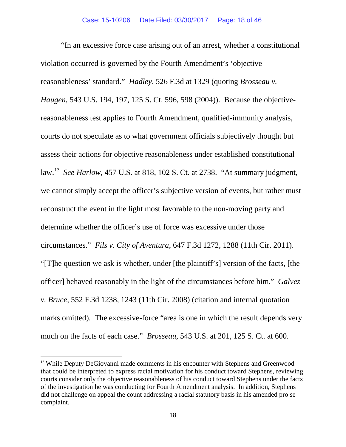"In an excessive force case arising out of an arrest, whether a constitutional violation occurred is governed by the Fourth Amendment's 'objective reasonableness' standard." *Hadley*, 526 F.3d at 1329 (quoting *Brosseau v. Haugen*, 543 U.S. 194, 197, 125 S. Ct. 596, 598 (2004)). Because the objectivereasonableness test applies to Fourth Amendment, qualified-immunity analysis, courts do not speculate as to what government officials subjectively thought but assess their actions for objective reasonableness under established constitutional law.[13](#page-17-0) *See Harlow*, 457 U.S. at 818, 102 S. Ct. at 2738. "At summary judgment, we cannot simply accept the officer's subjective version of events, but rather must reconstruct the event in the light most favorable to the non-moving party and determine whether the officer's use of force was excessive under those circumstances." *Fils v. City of Aventura*, 647 F.3d 1272, 1288 (11th Cir. 2011). "[T]he question we ask is whether, under [the plaintiff's] version of the facts, [the officer] behaved reasonably in the light of the circumstances before him." *Galvez v. Bruce*, 552 F.3d 1238, 1243 (11th Cir. 2008) (citation and internal quotation marks omitted). The excessive-force "area is one in which the result depends very much on the facts of each case." *Brosseau*, 543 U.S. at 201, 125 S. Ct. at 600.

<span id="page-17-0"></span><sup>&</sup>lt;sup>13</sup> While Deputy DeGiovanni made comments in his encounter with Stephens and Greenwood that could be interpreted to express racial motivation for his conduct toward Stephens, reviewing courts consider only the objective reasonableness of his conduct toward Stephens under the facts of the investigation he was conducting for Fourth Amendment analysis. In addition, Stephens did not challenge on appeal the count addressing a racial statutory basis in his amended pro se complaint.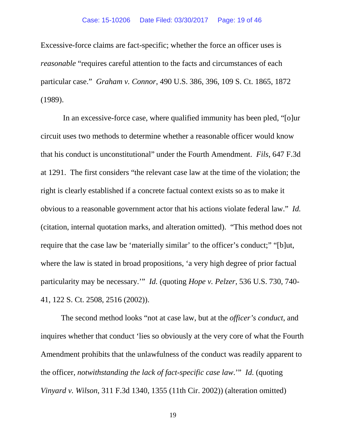Excessive-force claims are fact-specific; whether the force an officer uses is *reasonable* "requires careful attention to the facts and circumstances of each particular case." *Graham v. Connor*, 490 U.S. 386, 396, 109 S. Ct. 1865, 1872 (1989).

In an excessive-force case, where qualified immunity has been pled, "[o]ur circuit uses two methods to determine whether a reasonable officer would know that his conduct is unconstitutional" under the Fourth Amendment. *Fils*, 647 F.3d at 1291. The first considers "the relevant case law at the time of the violation; the right is clearly established if a concrete factual context exists so as to make it obvious to a reasonable government actor that his actions violate federal law." *Id.* (citation, internal quotation marks, and alteration omitted). "This method does not require that the case law be 'materially similar' to the officer's conduct;" "[b]ut, where the law is stated in broad propositions, 'a very high degree of prior factual particularity may be necessary.'" *Id.* (quoting *Hope v. Pelzer*, 536 U.S. 730, 740- 41, 122 S. Ct. 2508, 2516 (2002)).

The second method looks "not at case law, but at the *officer's conduct*, and inquires whether that conduct 'lies so obviously at the very core of what the Fourth Amendment prohibits that the unlawfulness of the conduct was readily apparent to the officer, *notwithstanding the lack of fact-specific case law*.'" *Id.* (quoting *Vinyard v. Wilson*, 311 F.3d 1340, 1355 (11th Cir. 2002)) (alteration omitted)

19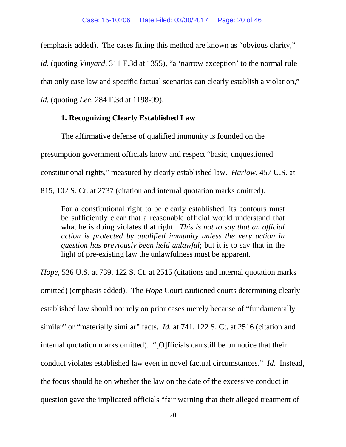(emphasis added). The cases fitting this method are known as "obvious clarity,"

*id.* (quoting *Vinyard*, 311 F.3d at 1355), "a 'narrow exception' to the normal rule

that only case law and specific factual scenarios can clearly establish a violation,"

*id.* (quoting *Lee*, 284 F.3d at 1198-99).

## **1. Recognizing Clearly Established Law**

The affirmative defense of qualified immunity is founded on the presumption government officials know and respect "basic, unquestioned constitutional rights," measured by clearly established law. *Harlow*, 457 U.S. at 815, 102 S. Ct. at 2737 (citation and internal quotation marks omitted).

For a constitutional right to be clearly established, its contours must be sufficiently clear that a reasonable official would understand that what he is doing violates that right. *This is not to say that an official action is protected by qualified immunity unless the very action in question has previously been held unlawful*; but it is to say that in the light of pre-existing law the unlawfulness must be apparent.

*Hope*, 536 U.S. at 739, 122 S. Ct. at 2515 (citations and internal quotation marks omitted) (emphasis added). The *Hope* Court cautioned courts determining clearly established law should not rely on prior cases merely because of "fundamentally similar" or "materially similar" facts. *Id.* at 741, 122 S. Ct. at 2516 (citation and internal quotation marks omitted). "[O]fficials can still be on notice that their conduct violates established law even in novel factual circumstances." *Id.* Instead, the focus should be on whether the law on the date of the excessive conduct in question gave the implicated officials "fair warning that their alleged treatment of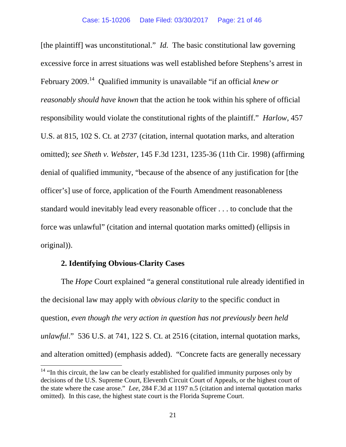[the plaintiff] was unconstitutional." *Id.* The basic constitutional law governing excessive force in arrest situations was well established before Stephens's arrest in February 2009.[14](#page-20-0) Qualified immunity is unavailable "if an official *knew or reasonably should have known* that the action he took within his sphere of official responsibility would violate the constitutional rights of the plaintiff." *Harlow*, 457 U.S. at 815, 102 S. Ct. at 2737 (citation, internal quotation marks, and alteration omitted); *see Sheth v. Webster*, 145 F.3d 1231, 1235-36 (11th Cir. 1998) (affirming denial of qualified immunity, "because of the absence of any justification for [the officer's] use of force, application of the Fourth Amendment reasonableness standard would inevitably lead every reasonable officer . . . to conclude that the force was unlawful" (citation and internal quotation marks omitted) (ellipsis in original)).

## **2. Identifying Obvious-Clarity Cases**

The *Hope* Court explained "a general constitutional rule already identified in the decisional law may apply with *obvious clarity* to the specific conduct in question, *even though the very action in question has not previously been held unlawful*." 536 U.S. at 741, 122 S. Ct. at 2516 (citation, internal quotation marks, and alteration omitted) (emphasis added). "Concrete facts are generally necessary

<span id="page-20-0"></span> $14$  "In this circuit, the law can be clearly established for qualified immunity purposes only by decisions of the U.S. Supreme Court, Eleventh Circuit Court of Appeals, or the highest court of the state where the case arose." *Lee*, 284 F.3d at 1197 n.5 (citation and internal quotation marks omitted). In this case, the highest state court is the Florida Supreme Court.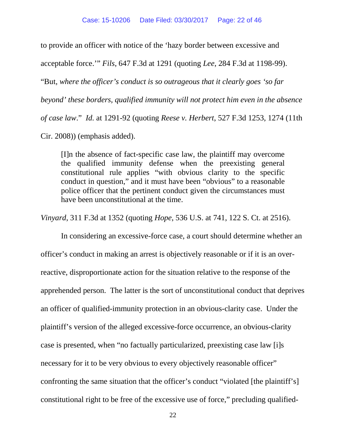to provide an officer with notice of the 'hazy border between excessive and

acceptable force.'" *Fils*, 647 F.3d at 1291 (quoting *Lee*, 284 F.3d at 1198-99).

"But, *where the officer's conduct is so outrageous that it clearly goes 'so far* 

*beyond' these borders, qualified immunity will not protect him even in the absence* 

*of case law*." *Id.* at 1291-92 (quoting *Reese v. Herbert*, 527 F.3d 1253, 1274 (11th

Cir. 2008)) (emphasis added).

[I]n the absence of fact-specific case law, the plaintiff may overcome the qualified immunity defense when the preexisting general constitutional rule applies "with obvious clarity to the specific conduct in question," and it must have been "obvious" to a reasonable police officer that the pertinent conduct given the circumstances must have been unconstitutional at the time.

*Vinyard*, 311 F.3d at 1352 (quoting *Hope*, 536 U.S. at 741, 122 S. Ct. at 2516).

In considering an excessive-force case, a court should determine whether an officer's conduct in making an arrest is objectively reasonable or if it is an overreactive, disproportionate action for the situation relative to the response of the apprehended person. The latter is the sort of unconstitutional conduct that deprives an officer of qualified-immunity protection in an obvious-clarity case. Under the plaintiff's version of the alleged excessive-force occurrence, an obvious-clarity case is presented, when "no factually particularized, preexisting case law [i]s necessary for it to be very obvious to every objectively reasonable officer" confronting the same situation that the officer's conduct "violated [the plaintiff's] constitutional right to be free of the excessive use of force," precluding qualified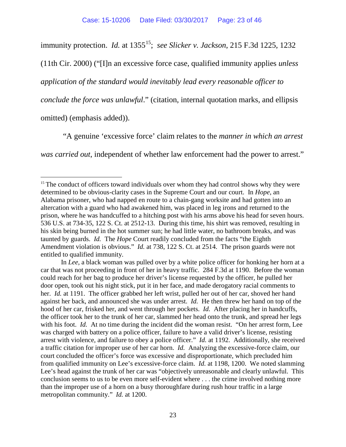immunity protection. *Id.* at 1355<sup>[15](#page-22-0)</sup>; *see Slicker v. Jackson*, 215 F.3d 1225, 1232

(11th Cir. 2000) ("[I]n an excessive force case, qualified immunity applies *unless* 

*application of the standard would inevitably lead every reasonable officer to* 

*conclude the force was unlawful*." (citation, internal quotation marks, and ellipsis

omitted) (emphasis added)).

"A genuine 'excessive force' claim relates to the *manner in which an arrest was carried out*, independent of whether law enforcement had the power to arrest."

<span id="page-22-0"></span> $15$  The conduct of officers toward individuals over whom they had control shows why they were determined to be obvious-clarity cases in the Supreme Court and our court. In *Hope*, an Alabama prisoner, who had napped en route to a chain-gang worksite and had gotten into an altercation with a guard who had awakened him, was placed in leg irons and returned to the prison, where he was handcuffed to a hitching post with his arms above his head for seven hours. 536 U.S. at 734-35, 122 S. Ct. at 2512-13. During this time, his shirt was removed, resulting in his skin being burned in the hot summer sun; he had little water, no bathroom breaks, and was taunted by guards. *Id.* The *Hope* Court readily concluded from the facts "the Eighth Amendment violation is obvious." *Id.* at 738, 122 S. Ct. at 2514. The prison guards were not entitled to qualified immunity.

In *Lee*, a black woman was pulled over by a white police officer for honking her horn at a car that was not proceeding in front of her in heavy traffic. 284 F.3d at 1190. Before the woman could reach for her bag to produce her driver's license requested by the officer, he pulled her door open, took out his night stick, put it in her face, and made derogatory racial comments to her. *Id.* at 1191. The officer grabbed her left wrist, pulled her out of her car, shoved her hand against her back, and announced she was under arrest. *Id.* He then threw her hand on top of the hood of her car, frisked her, and went through her pockets. *Id.* After placing her in handcuffs, the officer took her to the trunk of her car, slammed her head onto the trunk, and spread her legs with his foot. *Id.* At no time during the incident did the woman resist. "On her arrest form, Lee was charged with battery on a police officer, failure to have a valid driver's license, resisting arrest with violence, and failure to obey a police officer." *Id.* at 1192. Additionally, she received a traffic citation for improper use of her car horn. *Id.* Analyzing the excessive-force claim, our court concluded the officer's force was excessive and disproportionate, which precluded him from qualified immunity on Lee's excessive-force claim. *Id.* at 1198, 1200. We noted slamming Lee's head against the trunk of her car was "objectively unreasonable and clearly unlawful. This conclusion seems to us to be even more self-evident where . . . the crime involved nothing more than the improper use of a horn on a busy thoroughfare during rush hour traffic in a large metropolitan community." *Id.* at 1200.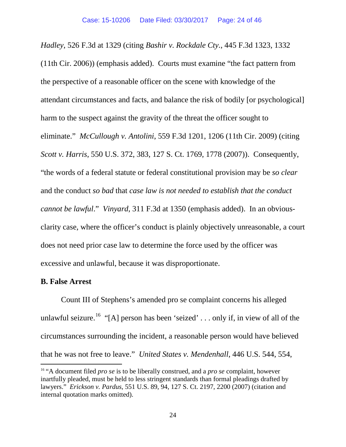*Hadley*, 526 F.3d at 1329 (citing *Bashir v. Rockdale Cty.*, 445 F.3d 1323, 1332 (11th Cir. 2006)) (emphasis added). Courts must examine "the fact pattern from the perspective of a reasonable officer on the scene with knowledge of the attendant circumstances and facts, and balance the risk of bodily [or psychological] harm to the suspect against the gravity of the threat the officer sought to eliminate." *McCullough v. Antolini*, 559 F.3d 1201, 1206 (11th Cir. 2009) (citing *Scott v. Harris*, 550 U.S. 372, 383, 127 S. Ct. 1769, 1778 (2007)). Consequently, "the words of a federal statute or federal constitutional provision may be *so clear* and the conduct *so bad* that *case law is not needed to establish that the conduct cannot be lawful*." *Vinyard*, 311 F.3d at 1350 (emphasis added). In an obviousclarity case, where the officer's conduct is plainly objectively unreasonable, a court does not need prior case law to determine the force used by the officer was excessive and unlawful, because it was disproportionate.

### **B. False Arrest**

Count III of Stephens's amended pro se complaint concerns his alleged unlawful seizure.<sup>[16](#page-23-0)</sup> "[A] person has been 'seized' ... only if, in view of all of the circumstances surrounding the incident, a reasonable person would have believed that he was not free to leave." *United States v. Mendenhall*, 446 U.S. 544, 554,

<span id="page-23-0"></span> <sup>16</sup> "A document filed *pro se* is to be liberally construed, and a *pro se* complaint, however inartfully pleaded, must be held to less stringent standards than formal pleadings drafted by lawyers." *Erickson v. Pardus*, 551 U.S. 89, 94, 127 S. Ct. 2197, 2200 (2007) (citation and internal quotation marks omitted).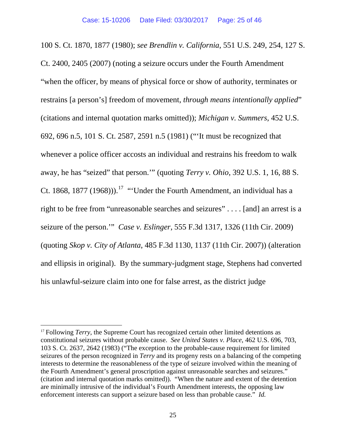100 S. Ct. 1870, 1877 (1980); *see Brendlin v. California*, 551 U.S. 249, 254, 127 S. Ct. 2400, 2405 (2007) (noting a seizure occurs under the Fourth Amendment "when the officer, by means of physical force or show of authority, terminates or restrains [a person's] freedom of movement, *through means intentionally applied*" (citations and internal quotation marks omitted)); *Michigan v. Summers*, 452 U.S. 692, 696 n.5, 101 S. Ct. 2587, 2591 n.5 (1981) ("'It must be recognized that whenever a police officer accosts an individual and restrains his freedom to walk away, he has "seized" that person.'" (quoting *Terry v. Ohio*, 392 U.S. 1, 16, 88 S. Ct. 1868, 1877 (1968)).<sup>[17](#page-24-0)</sup> "Under the Fourth Amendment, an individual has a right to be free from "unreasonable searches and seizures" . . . . [and] an arrest is a seizure of the person.'" *Case v. Eslinger*, 555 F.3d 1317, 1326 (11th Cir. 2009) (quoting *Skop v. City of Atlanta*, 485 F.3d 1130, 1137 (11th Cir. 2007)) (alteration and ellipsis in original). By the summary-judgment stage, Stephens had converted his unlawful-seizure claim into one for false arrest, as the district judge

<span id="page-24-0"></span><sup>&</sup>lt;sup>17</sup> Following *Terry*, the Supreme Court has recognized certain other limited detentions as constitutional seizures without probable cause. *See United States v. Place*, 462 U.S. 696, 703, 103 S. Ct. 2637, 2642 (1983) ("The exception to the probable-cause requirement for limited seizures of the person recognized in *Terry* and its progeny rests on a balancing of the competing interests to determine the reasonableness of the type of seizure involved within the meaning of the Fourth Amendment's general proscription against unreasonable searches and seizures." (citation and internal quotation marks omitted)). "When the nature and extent of the detention are minimally intrusive of the individual's Fourth Amendment interests, the opposing law enforcement interests can support a seizure based on less than probable cause." *Id.*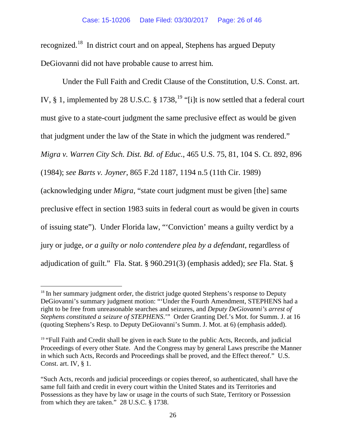recognized.[18](#page-25-0) In district court and on appeal, Stephens has argued Deputy DeGiovanni did not have probable cause to arrest him.

 Under the Full Faith and Credit Clause of the Constitution, U.S. Const. art. IV,  $\S$  1, implemented by 28 U.S.C.  $\S$  1738, <sup>[19](#page-25-1)</sup> "[i]t is now settled that a federal court must give to a state-court judgment the same preclusive effect as would be given that judgment under the law of the State in which the judgment was rendered." *Migra v. Warren City Sch. Dist. Bd. of Educ.*, 465 U.S. 75, 81, 104 S. Ct. 892, 896 (1984); *see Barts v. Joyner*, 865 F.2d 1187, 1194 n.5 (11th Cir. 1989) (acknowledging under *Migra*, "state court judgment must be given [the] same preclusive effect in section 1983 suits in federal court as would be given in courts of issuing state"). Under Florida law, "'Conviction' means a guilty verdict by a jury or judge, *or a guilty or nolo contendere plea by a defendant*, regardless of adjudication of guilt." Fla. Stat. § 960.291(3) (emphasis added); *see* Fla. Stat. §

<span id="page-25-0"></span><sup>&</sup>lt;sup>18</sup> In her summary judgment order, the district judge quoted Stephens's response to Deputy DeGiovanni's summary judgment motion: "'Under the Fourth Amendment, STEPHENS had a right to be free from unreasonable searches and seizures, and *Deputy DeGiovanni's arrest of Stephens constituted a seizure of STEPHENS*.'" Order Granting Def.'s Mot. for Summ. J. at 16 (quoting Stephens's Resp. to Deputy DeGiovanni's Summ. J. Mot. at 6) (emphasis added).

<span id="page-25-1"></span><sup>&</sup>lt;sup>19</sup> "Full Faith and Credit shall be given in each State to the public Acts, Records, and judicial Proceedings of every other State. And the Congress may by general Laws prescribe the Manner in which such Acts, Records and Proceedings shall be proved, and the Effect thereof." U.S. Const. art. IV, § 1.

<sup>&</sup>quot;Such Acts, records and judicial proceedings or copies thereof, so authenticated, shall have the same full faith and credit in every court within the United States and its Territories and Possessions as they have by law or usage in the courts of such State, Territory or Possession from which they are taken." 28 U.S.C. § 1738.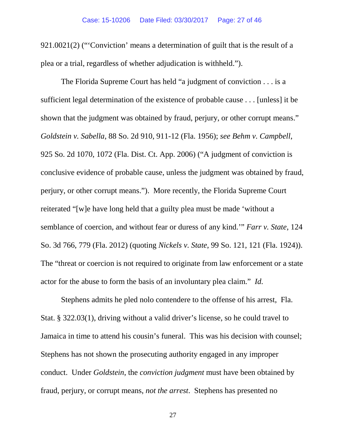921.0021(2) ("'Conviction' means a determination of guilt that is the result of a plea or a trial, regardless of whether adjudication is withheld.").

The Florida Supreme Court has held "a judgment of conviction . . . is a sufficient legal determination of the existence of probable cause . . . [unless] it be shown that the judgment was obtained by fraud, perjury, or other corrupt means." *Goldstein v. Sabella*, 88 So. 2d 910, 911-12 (Fla. 1956); *see Behm v. Campbell*, 925 So. 2d 1070, 1072 (Fla. Dist. Ct. App. 2006) ("A judgment of conviction is conclusive evidence of probable cause, unless the judgment was obtained by fraud, perjury, or other corrupt means."). More recently, the Florida Supreme Court reiterated "[w]e have long held that a guilty plea must be made 'without a semblance of coercion, and without fear or duress of any kind.'" *Farr v. State*, 124 So. 3d 766, 779 (Fla. 2012) (quoting *Nickels v. State*, 99 So. 121, 121 (Fla. 1924)). The "threat or coercion is not required to originate from law enforcement or a state actor for the abuse to form the basis of an involuntary plea claim." *Id.*

Stephens admits he pled nolo contendere to the offense of his arrest, Fla. Stat. § 322.03(1), driving without a valid driver's license, so he could travel to Jamaica in time to attend his cousin's funeral. This was his decision with counsel; Stephens has not shown the prosecuting authority engaged in any improper conduct. Under *Goldstein*, the *conviction judgment* must have been obtained by fraud, perjury, or corrupt means, *not the arrest*. Stephens has presented no

27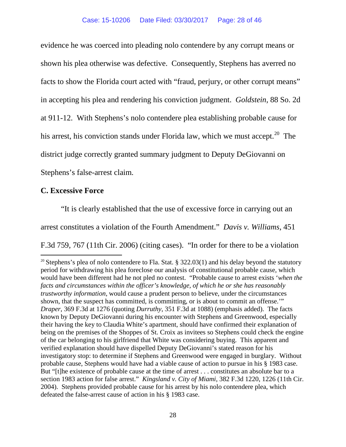evidence he was coerced into pleading nolo contendere by any corrupt means or shown his plea otherwise was defective. Consequently, Stephens has averred no facts to show the Florida court acted with "fraud, perjury, or other corrupt means" in accepting his plea and rendering his conviction judgment. *Goldstein*, 88 So. 2d at 911-12. With Stephens's nolo contendere plea establishing probable cause for his arrest, his conviction stands under Florida law, which we must accept.<sup>20</sup> The district judge correctly granted summary judgment to Deputy DeGiovanni on Stephens's false-arrest claim.

### **C. Excessive Force**

"It is clearly established that the use of excessive force in carrying out an arrest constitutes a violation of the Fourth Amendment." *Davis v. Williams*, 451 F.3d 759, 767 (11th Cir. 2006) (citing cases). "In order for there to be a violation

<span id="page-27-0"></span><sup>&</sup>lt;sup>20</sup> Stephens's plea of nolo contendere to Fla. Stat. § 322.03(1) and his delay beyond the statutory period for withdrawing his plea foreclose our analysis of constitutional probable cause, which would have been different had he not pled no contest. "Probable cause to arrest exists '*when the facts and circumstances within the officer's knowledge, of which he or she has reasonably trustworthy information*, would cause a prudent person to believe, under the circumstances shown, that the suspect has committed, is committing, or is about to commit an offense." *Draper*, 369 F.3d at 1276 (quoting *Durruthy*, 351 F.3d at 1088) (emphasis added). The facts known by Deputy DeGiovanni during his encounter with Stephens and Greenwood, especially their having the key to Claudia White's apartment, should have confirmed their explanation of being on the premises of the Shoppes of St. Croix as invitees so Stephens could check the engine of the car belonging to his girlfriend that White was considering buying. This apparent and verified explanation should have dispelled Deputy DeGiovanni's stated reason for his investigatory stop: to determine if Stephens and Greenwood were engaged in burglary. Without probable cause, Stephens would have had a viable cause of action to pursue in his § 1983 case. But "[t]he existence of probable cause at the time of arrest . . . constitutes an absolute bar to a section 1983 action for false arrest." *Kingsland v. City of Miami*, 382 F.3d 1220, 1226 (11th Cir. 2004). Stephens provided probable cause for his arrest by his nolo contendere plea, which defeated the false-arrest cause of action in his § 1983 case.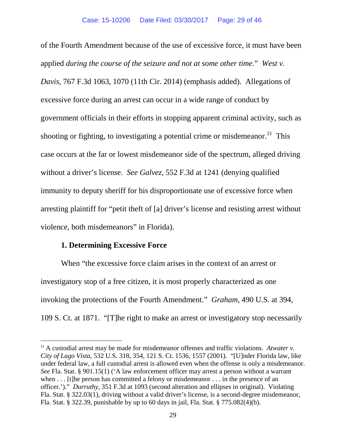of the Fourth Amendment because of the use of excessive force, it must have been applied *during the course of the seizure and not at some other time*." *West v. Davis*, 767 F.3d 1063, 1070 (11th Cir. 2014) (emphasis added). Allegations of excessive force during an arrest can occur in a wide range of conduct by government officials in their efforts in stopping apparent criminal activity, such as shooting or fighting, to investigating a potential crime or misdemeanor.<sup>21</sup> This case occurs at the far or lowest misdemeanor side of the spectrum, alleged driving without a driver's license. *See Galvez*, 552 F.3d at 1241 (denying qualified immunity to deputy sheriff for his disproportionate use of excessive force when arresting plaintiff for "petit theft of [a] driver's license and resisting arrest without violence, both misdemeanors" in Florida).

#### **1. Determining Excessive Force**

When "the excessive force claim arises in the context of an arrest or investigatory stop of a free citizen, it is most properly characterized as one invoking the protections of the Fourth Amendment." *Graham*, 490 U.S. at 394, 109 S. Ct. at 1871. "[T]he right to make an arrest or investigatory stop necessarily

<span id="page-28-0"></span> <sup>21</sup> A custodial arrest may be made for misdemeanor offenses and traffic violations. *Atwater v. City of Lago Vista*, 532 U.S. 318, 354, 121 S. Ct. 1536, 1557 (2001). "[U]nder Florida law, like under federal law, a full custodial arrest is allowed even when the offense is only a misdemeanor. *See* Fla. Stat. § 901.15(1) ('A law enforcement officer may arrest a person without a warrant when . . . [t]he person has committed a felony or misdemeanor . . . in the presence of an officer.')." *Durruthy*, 351 F.3d at 1093 (second alteration and ellipses in original). Violating Fla. Stat. § 322.03(1), driving without a valid driver's license, is a second-degree misdemeanor, Fla. Stat. § 322.39, punishable by up to 60 days in jail, Fla. Stat. § 775.082(4)(b).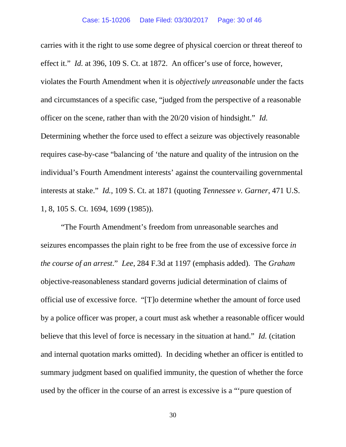carries with it the right to use some degree of physical coercion or threat thereof to effect it." *Id.* at 396, 109 S. Ct. at 1872. An officer's use of force, however, violates the Fourth Amendment when it is *objectively unreasonable* under the facts and circumstances of a specific case, "judged from the perspective of a reasonable officer on the scene, rather than with the 20/20 vision of hindsight." *Id.* Determining whether the force used to effect a seizure was objectively reasonable requires case-by-case "balancing of 'the nature and quality of the intrusion on the individual's Fourth Amendment interests' against the countervailing governmental interests at stake." *Id.*, 109 S. Ct. at 1871 (quoting *Tennessee v. Garner*, 471 U.S. 1, 8, 105 S. Ct. 1694, 1699 (1985)).

"The Fourth Amendment's freedom from unreasonable searches and seizures encompasses the plain right to be free from the use of excessive force *in the course of an arrest*." *Lee*, 284 F.3d at 1197 (emphasis added). The *Graham* objective-reasonableness standard governs judicial determination of claims of official use of excessive force. "[T]o determine whether the amount of force used by a police officer was proper, a court must ask whether a reasonable officer would believe that this level of force is necessary in the situation at hand." *Id.* (citation and internal quotation marks omitted). In deciding whether an officer is entitled to summary judgment based on qualified immunity, the question of whether the force used by the officer in the course of an arrest is excessive is a "'pure question of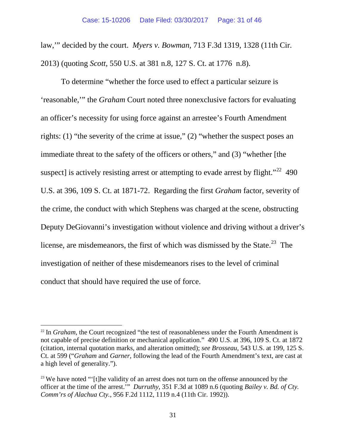law,'" decided by the court. *Myers v. Bowman*, 713 F.3d 1319, 1328 (11th Cir. 2013) (quoting *Scott*, 550 U.S. at 381 n.8, 127 S. Ct. at 1776 n.8).

To determine "whether the force used to effect a particular seizure is 'reasonable,'" the *Graham* Court noted three nonexclusive factors for evaluating an officer's necessity for using force against an arrestee's Fourth Amendment rights: (1) "the severity of the crime at issue," (2) "whether the suspect poses an immediate threat to the safety of the officers or others," and (3) "whether [the suspect] is actively resisting arrest or attempting to evade arrest by flight." $^{22}$  $^{22}$  $^{22}$  490 U.S. at 396, 109 S. Ct. at 1871-72. Regarding the first *Graham* factor, severity of the crime, the conduct with which Stephens was charged at the scene, obstructing Deputy DeGiovanni's investigation without violence and driving without a driver's license, are misdemeanors, the first of which was dismissed by the State.<sup>[23](#page-30-1)</sup> The investigation of neither of these misdemeanors rises to the level of criminal conduct that should have required the use of force.

<span id="page-30-0"></span><sup>&</sup>lt;sup>22</sup> In *Graham*, the Court recognized "the test of reasonableness under the Fourth Amendment is not capable of precise definition or mechanical application." 490 U.S. at 396, 109 S. Ct. at 1872 (citation, internal quotation marks, and alteration omitted); *see Brosseau*, 543 U.S. at 199, 125 S. Ct. at 599 ("*Graham* and *Garner*, following the lead of the Fourth Amendment's text, are cast at a high level of generality.").

<span id="page-30-1"></span> $23$  We have noted "'[t]he validity of an arrest does not turn on the offense announced by the officer at the time of the arrest.'" *Durruthy*, 351 F.3d at 1089 n.6 (quoting *Bailey v. Bd. of Cty. Comm'rs of Alachua Cty.*, 956 F.2d 1112, 1119 n.4 (11th Cir. 1992)).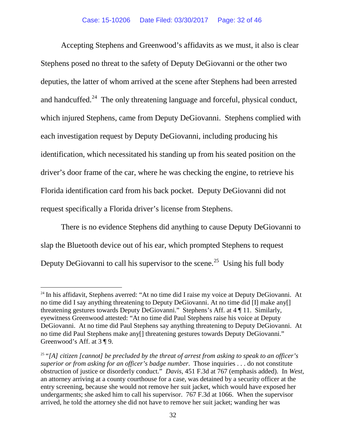Accepting Stephens and Greenwood's affidavits as we must, it also is clear Stephens posed no threat to the safety of Deputy DeGiovanni or the other two deputies, the latter of whom arrived at the scene after Stephens had been arrested and handcuffed.<sup>24</sup> The only threatening language and forceful, physical conduct, which injured Stephens, came from Deputy DeGiovanni. Stephens complied with each investigation request by Deputy DeGiovanni, including producing his identification, which necessitated his standing up from his seated position on the driver's door frame of the car, where he was checking the engine, to retrieve his Florida identification card from his back pocket. Deputy DeGiovanni did not request specifically a Florida driver's license from Stephens.

There is no evidence Stephens did anything to cause Deputy DeGiovanni to slap the Bluetooth device out of his ear, which prompted Stephens to request Deputy DeGiovanni to call his supervisor to the scene.<sup>25</sup> Using his full body

<span id="page-31-0"></span><sup>&</sup>lt;sup>24</sup> In his affidavit, Stephens averred: "At no time did I raise my voice at Deputy DeGiovanni. At no time did I say anything threatening to Deputy DeGiovanni. At no time did [I] make any[] threatening gestures towards Deputy DeGiovanni." Stephens's Aff. at 4 ¶ 11. Similarly, eyewitness Greenwood attested: "At no time did Paul Stephens raise his voice at Deputy DeGiovanni. At no time did Paul Stephens say anything threatening to Deputy DeGiovanni. At no time did Paul Stephens make any[] threatening gestures towards Deputy DeGiovanni." Greenwood's Aff. at 3 ¶ 9.

<span id="page-31-1"></span><sup>25</sup> "*[A] citizen [cannot] be precluded by the threat of arrest from asking to speak to an officer's superior or from asking for an officer's badge number*. Those inquiries . . . do not constitute obstruction of justice or disorderly conduct." *Davis*, 451 F.3d at 767 (emphasis added). In *West*, an attorney arriving at a county courthouse for a case, was detained by a security officer at the entry screening, because she would not remove her suit jacket, which would have exposed her undergarments; she asked him to call his supervisor. 767 F.3d at 1066. When the supervisor arrived, he told the attorney she did not have to remove her suit jacket; wanding her was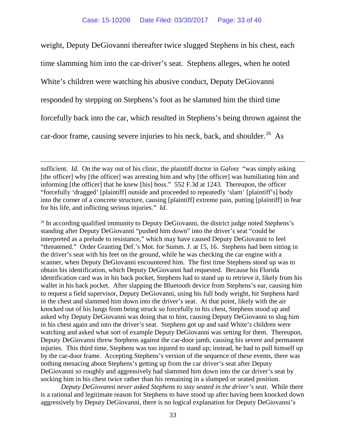weight, Deputy DeGiovanni thereafter twice slugged Stephens in his chest, each time slamming him into the car-driver's seat. Stephens alleges, when he noted White's children were watching his abusive conduct, Deputy DeGiovanni responded by stepping on Stephens's foot as he slammed him the third time forcefully back into the car, which resulted in Stephens's being thrown against the car-door frame, causing severe injuries to his neck, back, and shoulder.<sup>26</sup> As

sufficient. *Id.* On the way out of his clinic, the plaintiff doctor in *Galvez* "was simply asking [the officer] why [the officer] was arresting him and why [the officer] was humiliating him and informing [the officer] that he knew [his] boss." 552 F.3d at 1243. Thereupon, the officer "forcefully 'dragged' [plaintiff] outside and proceeded to repeatedly 'slam' [plaintiff's] body into the corner of a concrete structure, causing [plaintiff] extreme pain, putting [plaintiff] in fear for his life, and inflicting serious injuries." *Id.*

 $\overline{a}$ 

<span id="page-32-0"></span> $26$  In according qualified immunity to Deputy DeGiovanni, the district judge noted Stephens's standing after Deputy DeGiovanni "pushed him down" into the driver's seat "could be interpreted as a prelude to resistance," which may have caused Deputy DeGiovanni to feel "threatened." Order Granting Def.'s Mot. for Summ. J. at 15, 16. Stephens had been sitting in the driver's seat with his feet on the ground, while he was checking the car engine with a scanner, when Deputy DeGiovanni encountered him. The first time Stephens stood up was to obtain his identification, which Deputy DeGiovanni had requested. Because his Florida identification card was in his back pocket, Stephens had to stand up to retrieve it, likely from his wallet in his back pocket. After slapping the Bluetooth device from Stephens's ear, causing him to request a field supervisor, Deputy DeGiovanni, using his full body weight, hit Stephens hard in the chest and slammed him down into the driver's seat. At that point, likely with the air knocked out of his lungs from being struck so forcefully in his chest, Stephens stood up and asked why Deputy DeGiovanni was doing that to him, causing Deputy DeGiovanni to slug him in his chest again and into the driver's seat. Stephens got up and said White's children were watching and asked what sort of example Deputy DeGiovanni was setting for them. Thereupon, Deputy DeGiovanni threw Stephens against the car-door jamb, causing his severe and permanent injuries. This third time, Stephens was too injured to stand up; instead, he had to pull himself up by the car-door frame. Accepting Stephens's version of the sequence of these events, there was nothing menacing about Stephens's getting up from the car driver's seat after Deputy DeGiovanni so roughly and aggressively had slammed him down into the car driver's seat by socking him in his chest twice rather than his remaining in a slumped or seated position.

*Deputy DeGiovanni never asked Stephens to stay seated in the driver's seat*. While there is a rational and legitimate reason for Stephens to have stood up after having been knocked down aggressively by Deputy DeGiovanni, there is no logical explanation for Deputy DeGiovanni's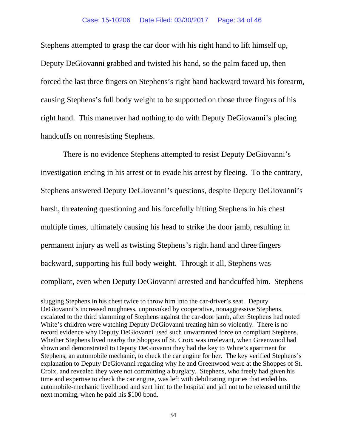Stephens attempted to grasp the car door with his right hand to lift himself up, Deputy DeGiovanni grabbed and twisted his hand, so the palm faced up, then forced the last three fingers on Stephens's right hand backward toward his forearm, causing Stephens's full body weight to be supported on those three fingers of his right hand. This maneuver had nothing to do with Deputy DeGiovanni's placing handcuffs on nonresisting Stephens.

There is no evidence Stephens attempted to resist Deputy DeGiovanni's investigation ending in his arrest or to evade his arrest by fleeing. To the contrary, Stephens answered Deputy DeGiovanni's questions, despite Deputy DeGiovanni's harsh, threatening questioning and his forcefully hitting Stephens in his chest multiple times, ultimately causing his head to strike the door jamb, resulting in permanent injury as well as twisting Stephens's right hand and three fingers backward, supporting his full body weight. Through it all, Stephens was compliant, even when Deputy DeGiovanni arrested and handcuffed him. Stephens

 $\overline{a}$ 

slugging Stephens in his chest twice to throw him into the car-driver's seat. Deputy DeGiovanni's increased roughness, unprovoked by cooperative, nonaggressive Stephens, escalated to the third slamming of Stephens against the car-door jamb, after Stephens had noted White's children were watching Deputy DeGiovanni treating him so violently. There is no record evidence why Deputy DeGiovanni used such unwarranted force on compliant Stephens. Whether Stephens lived nearby the Shoppes of St. Croix was irrelevant, when Greenwood had shown and demonstrated to Deputy DeGiovanni they had the key to White's apartment for Stephens, an automobile mechanic, to check the car engine for her. The key verified Stephens's explanation to Deputy DeGiovanni regarding why he and Greenwood were at the Shoppes of St. Croix, and revealed they were not committing a burglary. Stephens, who freely had given his time and expertise to check the car engine, was left with debilitating injuries that ended his automobile-mechanic livelihood and sent him to the hospital and jail not to be released until the next morning, when he paid his \$100 bond.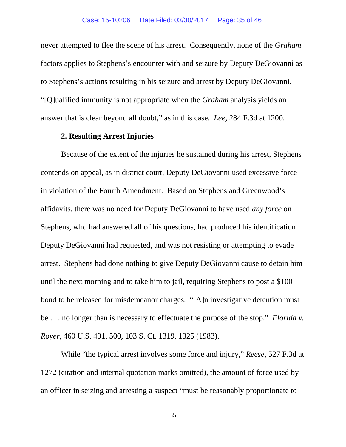never attempted to flee the scene of his arrest. Consequently, none of the *Graham*  factors applies to Stephens's encounter with and seizure by Deputy DeGiovanni as to Stephens's actions resulting in his seizure and arrest by Deputy DeGiovanni. "[Q]ualified immunity is not appropriate when the *Graham* analysis yields an answer that is clear beyond all doubt," as in this case. *Lee*, 284 F.3d at 1200.

#### **2. Resulting Arrest Injuries**

Because of the extent of the injuries he sustained during his arrest, Stephens contends on appeal, as in district court, Deputy DeGiovanni used excessive force in violation of the Fourth Amendment. Based on Stephens and Greenwood's affidavits, there was no need for Deputy DeGiovanni to have used *any force* on Stephens, who had answered all of his questions, had produced his identification Deputy DeGiovanni had requested, and was not resisting or attempting to evade arrest. Stephens had done nothing to give Deputy DeGiovanni cause to detain him until the next morning and to take him to jail, requiring Stephens to post a \$100 bond to be released for misdemeanor charges. "[A]n investigative detention must be . . . no longer than is necessary to effectuate the purpose of the stop." *Florida v. Royer*, 460 U.S. 491, 500, 103 S. Ct. 1319, 1325 (1983).

While "the typical arrest involves some force and injury," *Reese*, 527 F.3d at 1272 (citation and internal quotation marks omitted), the amount of force used by an officer in seizing and arresting a suspect "must be reasonably proportionate to

35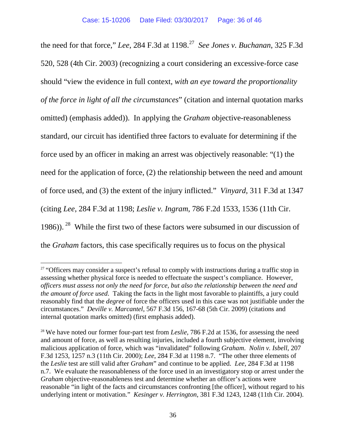the need for that force," *Lee*, 284 F.3d at 1198.<sup>[27](#page-35-0)</sup> *See Jones v. Buchanan*, 325 F.3d 520, 528 (4th Cir. 2003) (recognizing a court considering an excessive-force case should "view the evidence in full context, *with an eye toward the proportionality of the force in light of all the circumstances*" (citation and internal quotation marks omitted) (emphasis added)). In applying the *Graham* objective-reasonableness standard, our circuit has identified three factors to evaluate for determining if the force used by an officer in making an arrest was objectively reasonable: "(1) the need for the application of force, (2) the relationship between the need and amount of force used, and (3) the extent of the injury inflicted." *Vinyard*, 311 F.3d at 1347 (citing *Lee*, 284 F.3d at 1198; *Leslie v. Ingram*, 786 F.2d 1533, 1536 (11th Cir. 1986)). <sup>[28](#page-35-1)</sup> While the first two of these factors were subsumed in our discussion of the *Graham* factors, this case specifically requires us to focus on the physical

<span id="page-35-0"></span><sup>&</sup>lt;sup>27</sup> "Officers may consider a suspect's refusal to comply with instructions during a traffic stop in assessing whether physical force is needed to effectuate the suspect's compliance. However, *officers must assess not only the need for force, but also the relationship between the need and the amount of force used*. Taking the facts in the light most favorable to plaintiffs, a jury could reasonably find that the *degree* of force the officers used in this case was not justifiable under the circumstances." *Deville v. Marcantel*, 567 F.3d 156, 167-68 (5th Cir. 2009) (citations and internal quotation marks omitted) (first emphasis added).

<span id="page-35-1"></span><sup>&</sup>lt;sup>28</sup> We have noted our former four-part test from *Leslie*, 786 F.2d at 1536, for assessing the need and amount of force, as well as resulting injuries, included a fourth subjective element, involving malicious application of force, which was "invalidated" following *Graham*. *Nolin v. Isbell*, 207 F.3d 1253, 1257 n.3 (11th Cir. 2000); *Lee*, 284 F.3d at 1198 n.7. "The other three elements of the *Leslie* test are still valid after *Graham*" and continue to be applied. *Lee*, 284 F.3d at 1198 n.7. We evaluate the reasonableness of the force used in an investigatory stop or arrest under the *Graham* objective-reasonableness test and determine whether an officer's actions were reasonable "in light of the facts and circumstances confronting [the officer], without regard to his underlying intent or motivation." *Kesinger v. Herrington*, 381 F.3d 1243, 1248 (11th Cir. 2004).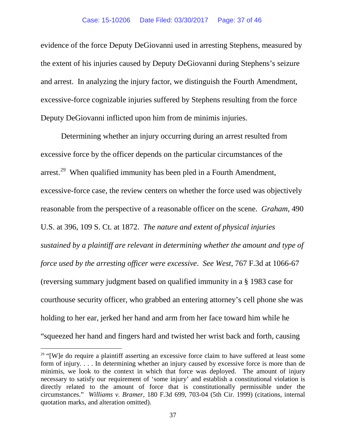evidence of the force Deputy DeGiovanni used in arresting Stephens, measured by the extent of his injuries caused by Deputy DeGiovanni during Stephens's seizure and arrest. In analyzing the injury factor, we distinguish the Fourth Amendment, excessive-force cognizable injuries suffered by Stephens resulting from the force Deputy DeGiovanni inflicted upon him from de minimis injuries.

Determining whether an injury occurring during an arrest resulted from excessive force by the officer depends on the particular circumstances of the arrest.<sup>[29](#page-36-0)</sup> When qualified immunity has been pled in a Fourth Amendment, excessive-force case, the review centers on whether the force used was objectively reasonable from the perspective of a reasonable officer on the scene. *Graham*, 490 U.S. at 396, 109 S. Ct. at 1872. *The nature and extent of physical injuries sustained by a plaintiff are relevant in determining whether the amount and type of force used by the arresting officer were excessive*. *See West*, 767 F.3d at 1066-67 (reversing summary judgment based on qualified immunity in a § 1983 case for courthouse security officer, who grabbed an entering attorney's cell phone she was holding to her ear, jerked her hand and arm from her face toward him while he "squeezed her hand and fingers hard and twisted her wrist back and forth, causing

<span id="page-36-0"></span> $29$  "[W]e do require a plaintiff asserting an excessive force claim to have suffered at least some form of injury. . . . In determining whether an injury caused by excessive force is more than de minimis, we look to the context in which that force was deployed. The amount of injury necessary to satisfy our requirement of 'some injury' and establish a constitutional violation is directly related to the amount of force that is constitutionally permissible under the circumstances." *Williams v. Bramer*, 180 F.3d 699, 703-04 (5th Cir. 1999) (citations, internal quotation marks, and alteration omitted).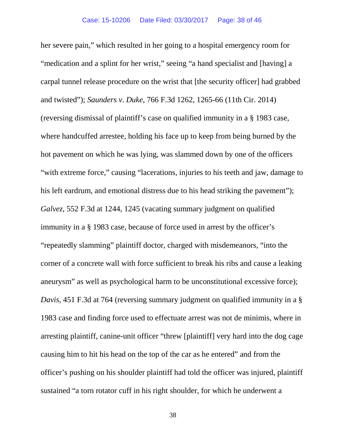her severe pain," which resulted in her going to a hospital emergency room for "medication and a splint for her wrist," seeing "a hand specialist and [having] a carpal tunnel release procedure on the wrist that [the security officer] had grabbed and twisted"); *Saunders v. Duke*, 766 F.3d 1262, 1265-66 (11th Cir. 2014) (reversing dismissal of plaintiff's case on qualified immunity in a § 1983 case, where handcuffed arrestee, holding his face up to keep from being burned by the hot pavement on which he was lying, was slammed down by one of the officers "with extreme force," causing "lacerations, injuries to his teeth and jaw, damage to his left eardrum, and emotional distress due to his head striking the pavement"); *Galvez*, 552 F.3d at 1244, 1245 (vacating summary judgment on qualified immunity in a § 1983 case, because of force used in arrest by the officer's "repeatedly slamming" plaintiff doctor, charged with misdemeanors, "into the corner of a concrete wall with force sufficient to break his ribs and cause a leaking aneurysm" as well as psychological harm to be unconstitutional excessive force); *Davis*, 451 F.3d at 764 (reversing summary judgment on qualified immunity in a § 1983 case and finding force used to effectuate arrest was not de minimis, where in arresting plaintiff, canine-unit officer "threw [plaintiff] very hard into the dog cage causing him to hit his head on the top of the car as he entered" and from the officer's pushing on his shoulder plaintiff had told the officer was injured, plaintiff sustained "a torn rotator cuff in his right shoulder, for which he underwent a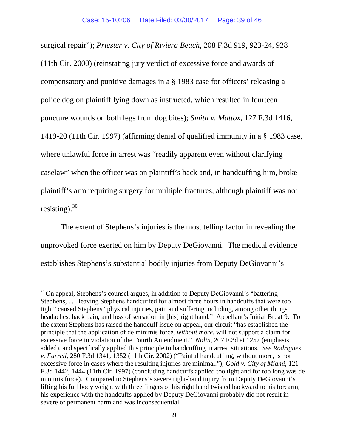surgical repair"); *Priester v. City of Riviera Beach*, 208 F.3d 919, 923-24, 928 (11th Cir. 2000) (reinstating jury verdict of excessive force and awards of compensatory and punitive damages in a § 1983 case for officers' releasing a police dog on plaintiff lying down as instructed, which resulted in fourteen puncture wounds on both legs from dog bites); *Smith v. Mattox*, 127 F.3d 1416, 1419-20 (11th Cir. 1997) (affirming denial of qualified immunity in a § 1983 case, where unlawful force in arrest was "readily apparent even without clarifying caselaw" when the officer was on plaintiff's back and, in handcuffing him, broke plaintiff's arm requiring surgery for multiple fractures, although plaintiff was not resisting).  $30$ 

The extent of Stephens's injuries is the most telling factor in revealing the unprovoked force exerted on him by Deputy DeGiovanni. The medical evidence establishes Stephens's substantial bodily injuries from Deputy DeGiovanni's

<span id="page-38-0"></span><sup>&</sup>lt;sup>30</sup> On appeal, Stephens's counsel argues, in addition to Deputy DeGiovanni's "battering" Stephens, . . . leaving Stephens handcuffed for almost three hours in handcuffs that were too tight" caused Stephens "physical injuries, pain and suffering including, among other things headaches, back pain, and loss of sensation in [his] right hand." Appellant's Initial Br. at 9. To the extent Stephens has raised the handcuff issue on appeal, our circuit "has established the principle that the application of de minimis force, *without more*, will not support a claim for excessive force in violation of the Fourth Amendment." *Nolin*, 207 F.3d at 1257 (emphasis added), and specifically applied this principle to handcuffing in arrest situations. *See Rodriguez v. Farrell*, 280 F.3d 1341, 1352 (11th Cir. 2002) ("Painful handcuffing, without more, is not excessive force in cases where the resulting injuries are minimal."); *Gold v. City of Miami*, 121 F.3d 1442, 1444 (11th Cir. 1997) (concluding handcuffs applied too tight and for too long was de minimis force). Compared to Stephens's severe right-hand injury from Deputy DeGiovanni's lifting his full body weight with three fingers of his right hand twisted backward to his forearm, his experience with the handcuffs applied by Deputy DeGiovanni probably did not result in severe or permanent harm and was inconsequential.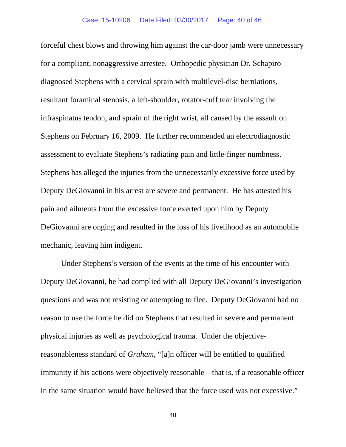forceful chest blows and throwing him against the car-door jamb were unnecessary for a compliant, nonaggressive arrestee. Orthopedic physician Dr. Schapiro diagnosed Stephens with a cervical sprain with multilevel-disc herniations, resultant foraminal stenosis, a left-shoulder, rotator-cuff tear involving the infraspinatus tendon, and sprain of the right wrist, all caused by the assault on Stephens on February 16, 2009. He further recommended an electrodiagnostic assessment to evaluate Stephens's radiating pain and little-finger numbness. Stephens has alleged the injuries from the unnecessarily excessive force used by Deputy DeGiovanni in his arrest are severe and permanent. He has attested his pain and ailments from the excessive force exerted upon him by Deputy DeGiovanni are onging and resulted in the loss of his livelihood as an automobile mechanic, leaving him indigent.

Under Stephens's version of the events at the time of his encounter with Deputy DeGiovanni, he had complied with all Deputy DeGiovanni's investigation questions and was not resisting or attempting to flee. Deputy DeGiovanni had no reason to use the force he did on Stephens that resulted in severe and permanent physical injuries as well as psychological trauma. Under the objectivereasonableness standard of *Graham*, "[a]n officer will be entitled to qualified immunity if his actions were objectively reasonable—that is, if a reasonable officer in the same situation would have believed that the force used was not excessive."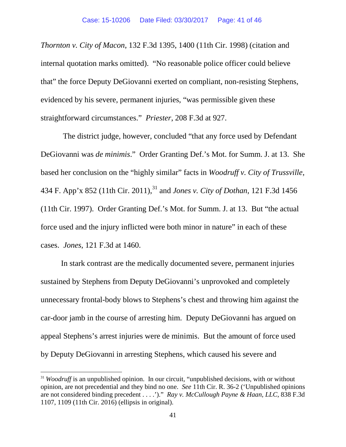*Thornton v. City of Macon*, 132 F.3d 1395, 1400 (11th Cir. 1998) (citation and internal quotation marks omitted). "No reasonable police officer could believe that" the force Deputy DeGiovanni exerted on compliant, non-resisting Stephens, evidenced by his severe, permanent injuries, "was permissible given these straightforward circumstances." *Priester*, 208 F.3d at 927.

The district judge, however, concluded "that any force used by Defendant DeGiovanni was *de minimis*." Order Granting Def.'s Mot. for Summ. J. at 13. She based her conclusion on the "highly similar" facts in *Woodruff v. City of Trussville*, 434 F. App'x 852 (11th Cir. 2011),<sup>[31](#page-40-0)</sup> and *Jones v. City of Dothan*, 121 F.3d 1456 (11th Cir. 1997). Order Granting Def.'s Mot. for Summ. J. at 13. But "the actual force used and the injury inflicted were both minor in nature" in each of these cases. *Jones*, 121 F.3d at 1460.

In stark contrast are the medically documented severe, permanent injuries sustained by Stephens from Deputy DeGiovanni's unprovoked and completely unnecessary frontal-body blows to Stephens's chest and throwing him against the car-door jamb in the course of arresting him. Deputy DeGiovanni has argued on appeal Stephens's arrest injuries were de minimis. But the amount of force used by Deputy DeGiovanni in arresting Stephens, which caused his severe and

<span id="page-40-0"></span><sup>&</sup>lt;sup>31</sup> *Woodruff* is an unpublished opinion. In our circuit, "unpublished decisions, with or without opinion, are not precedential and they bind no one. *See* 11th Cir. R. 36-2 ('Unpublished opinions are not considered binding precedent . . . .')." *Ray v. McCullough Payne & Haan, LLC*, 838 F.3d 1107, 1109 (11th Cir. 2016) (ellipsis in original).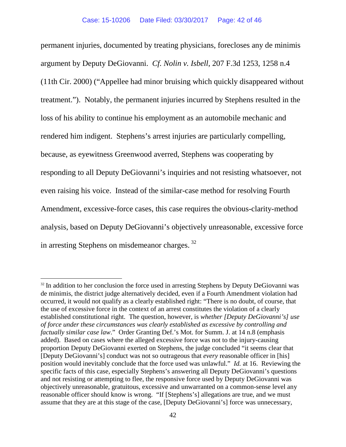permanent injuries, documented by treating physicians, forecloses any de minimis argument by Deputy DeGiovanni. *Cf. Nolin v. Isbell*, 207 F.3d 1253, 1258 n.4 (11th Cir. 2000) ("Appellee had minor bruising which quickly disappeared without treatment."). Notably, the permanent injuries incurred by Stephens resulted in the loss of his ability to continue his employment as an automobile mechanic and rendered him indigent. Stephens's arrest injuries are particularly compelling, because, as eyewitness Greenwood averred, Stephens was cooperating by responding to all Deputy DeGiovanni's inquiries and not resisting whatsoever, not even raising his voice. Instead of the similar-case method for resolving Fourth Amendment, excessive-force cases, this case requires the obvious-clarity-method analysis, based on Deputy DeGiovanni's objectively unreasonable, excessive force in arresting Stephens on misdemeanor charges.<sup>[32](#page-41-0)</sup>

<span id="page-41-0"></span> $32$  In addition to her conclusion the force used in arresting Stephens by Deputy DeGiovanni was de minimis, the district judge alternatively decided, even if a Fourth Amendment violation had occurred, it would not qualify as a clearly established right: "There is no doubt, of course, that the use of excessive force in the context of an arrest constitutes the violation of a clearly established constitutional right. The question, however, is *whether [Deputy DeGiovanni's] use of force under these circumstances was clearly established as excessive by controlling and factually similar case law*." Order Granting Def.'s Mot. for Summ. J. at 14 n.8 (emphasis added). Based on cases where the alleged excessive force was not to the injury-causing proportion Deputy DeGiovanni exerted on Stephens, the judge concluded "it seems clear that [Deputy DeGiovanni's] conduct was not so outrageous that *every* reasonable officer in [his] position would inevitably conclude that the force used was unlawful." *Id.* at 16. Reviewing the specific facts of this case, especially Stephens's answering all Deputy DeGiovanni's questions and not resisting or attempting to flee, the responsive force used by Deputy DeGiovanni was objectively unreasonable, gratuitous, excessive and unwarranted on a common-sense level any reasonable officer should know is wrong. "If [Stephens's] allegations are true, and we must assume that they are at this stage of the case, [Deputy DeGiovanni's] force was unnecessary,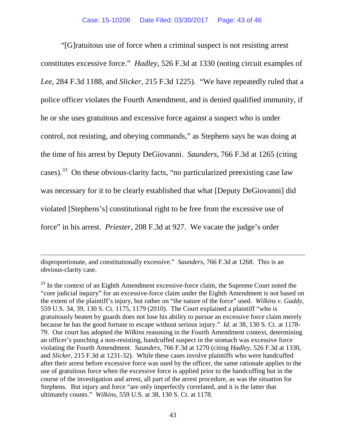"[G]ratuitous use of force when a criminal suspect is not resisting arrest constitutes excessive force." *Hadley*, 526 F.3d at 1330 (noting circuit examples of *Lee*, 284 F.3d 1188, and *Slicker*, 215 F.3d 1225). "We have repeatedly ruled that a police officer violates the Fourth Amendment, and is denied qualified immunity, if he or she uses gratuitous and excessive force against a suspect who is under control, not resisting, and obeying commands," as Stephens says he was doing at the time of his arrest by Deputy DeGiovanni. *Saunders*, 766 F.3d at 1265 (citing cases).<sup>[33](#page-42-0)</sup> On these obvious-clarity facts, "no particularized preexisting case law was necessary for it to be clearly established that what [Deputy DeGiovanni] did violated [Stephens's] constitutional right to be free from the excessive use of force" in his arrest. *Priester*, 208 F.3d at 927. We vacate the judge's order

disproportionate, and constitutionally excessive." *Saunders*, 766 F.3d at 1268. This is an obvious-clarity case.

 $\overline{a}$ 

<span id="page-42-0"></span><sup>&</sup>lt;sup>33</sup> In the context of an Eighth Amendment excessive-force claim, the Supreme Court noted the "core judicial inquiry" for an excessive-force claim under the Eighth Amendment is not based on the extent of the plaintiff's injury, but rather on "the nature of the force" used. *Wilkins v. Gaddy*, 559 U.S. 34, 39, 130 S. Ct. 1175, 1179 (2010). The Court explained a plaintiff "who is gratuitously beaten by guards does not lose his ability to pursue an excessive force claim merely because he has the good fortune to escape without serious injury." *Id.* at 38, 130 S. Ct. at 1178- 79. Our court has adopted the *Wilkins* reasoning in the Fourth Amendment context, determining an officer's punching a non-resisting, handcuffed suspect in the stomach was excessive force violating the Fourth Amendment. *Saunders*, 766 F.3d at 1270 (citing *Hadley*, 526 F.3d at 1330, and *Slicker*, 215 F.3d at 1231-32). While these cases involve plaintiffs who were handcuffed after their arrest before excessive force was used by the officer, the same rationale applies to the use of gratuitous force when the excessive force is applied prior to the handcuffing but in the course of the investigation and arrest, all part of the arrest procedure, as was the situation for Stephens. But injury and force "are only imperfectly correlated, and it is the latter that ultimately counts." *Wilkins*, 559 U.S. at 38, 130 S. Ct. at 1178.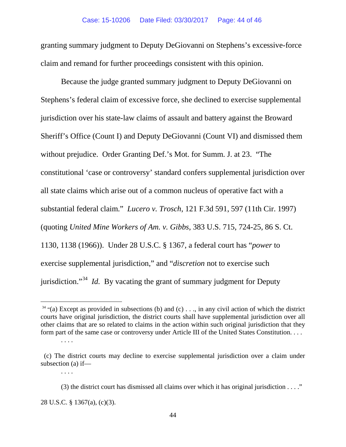granting summary judgment to Deputy DeGiovanni on Stephens's excessive-force claim and remand for further proceedings consistent with this opinion.

Because the judge granted summary judgment to Deputy DeGiovanni on Stephens's federal claim of excessive force, she declined to exercise supplemental jurisdiction over his state-law claims of assault and battery against the Broward Sheriff's Office (Count I) and Deputy DeGiovanni (Count VI) and dismissed them without prejudice. Order Granting Def.'s Mot. for Summ. J. at 23. "The constitutional 'case or controversy' standard confers supplemental jurisdiction over all state claims which arise out of a common nucleus of operative fact with a substantial federal claim." *Lucero v. Trosch*, 121 F.3d 591, 597 (11th Cir. 1997) (quoting *United Mine Workers of Am. v. Gibbs*, 383 U.S. 715, 724-25, 86 S. Ct. 1130, 1138 (1966)). Under 28 U.S.C. § 1367, a federal court has "*power* to exercise supplemental jurisdiction," and "*discretion* not to exercise such jurisdiction."[34](#page-43-0) *Id.* By vacating the grant of summary judgment for Deputy

. . . .

<span id="page-43-0"></span> $34$  "(a) Except as provided in subsections (b) and (c) . . ., in any civil action of which the district courts have original jurisdiction, the district courts shall have supplemental jurisdiction over all other claims that are so related to claims in the action within such original jurisdiction that they form part of the same case or controversy under Article III of the United States Constitution. . . .

<sup>. . . .</sup>

 <sup>(</sup>c) The district courts may decline to exercise supplemental jurisdiction over a claim under subsection (a) if—

<sup>(3)</sup> the district court has dismissed all claims over which it has original jurisdiction  $\dots$ ."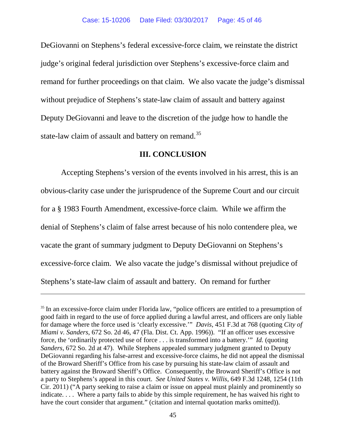DeGiovanni on Stephens's federal excessive-force claim, we reinstate the district judge's original federal jurisdiction over Stephens's excessive-force claim and remand for further proceedings on that claim. We also vacate the judge's dismissal without prejudice of Stephens's state-law claim of assault and battery against Deputy DeGiovanni and leave to the discretion of the judge how to handle the state-law claim of assault and battery on remand.<sup>[35](#page-44-0)</sup>

#### **III. CONCLUSION**

Accepting Stephens's version of the events involved in his arrest, this is an obvious-clarity case under the jurisprudence of the Supreme Court and our circuit for a § 1983 Fourth Amendment, excessive-force claim. While we affirm the denial of Stephens's claim of false arrest because of his nolo contendere plea, we vacate the grant of summary judgment to Deputy DeGiovanni on Stephens's excessive-force claim. We also vacate the judge's dismissal without prejudice of Stephens's state-law claim of assault and battery. On remand for further

 $\overline{a}$ 

<span id="page-44-0"></span><sup>&</sup>lt;sup>35</sup> In an excessive-force claim under Florida law, "police officers are entitled to a presumption of good faith in regard to the use of force applied during a lawful arrest, and officers are only liable for damage where the force used is 'clearly excessive.'" *Davis*, 451 F.3d at 768 (quoting *City of Miami v. Sanders*, 672 So. 2d 46, 47 (Fla. Dist. Ct. App. 1996)). "If an officer uses excessive force, the 'ordinarily protected use of force . . . is transformed into a battery.'" *Id.* (quoting *Sanders*, 672 So. 2d at 47). While Stephens appealed summary judgment granted to Deputy DeGiovanni regarding his false-arrest and excessive-force claims, he did not appeal the dismissal of the Broward Sheriff's Office from his case by pursuing his state-law claim of assault and battery against the Broward Sheriff's Office. Consequently, the Broward Sheriff's Office is not a party to Stephens's appeal in this court. *See United States v. Willis*, 649 F.3d 1248, 1254 (11th Cir. 2011) ("A party seeking to raise a claim or issue on appeal must plainly and prominently so indicate.... Where a party fails to abide by this simple requirement, he has waived his right to have the court consider that argument." (citation and internal quotation marks omitted)).